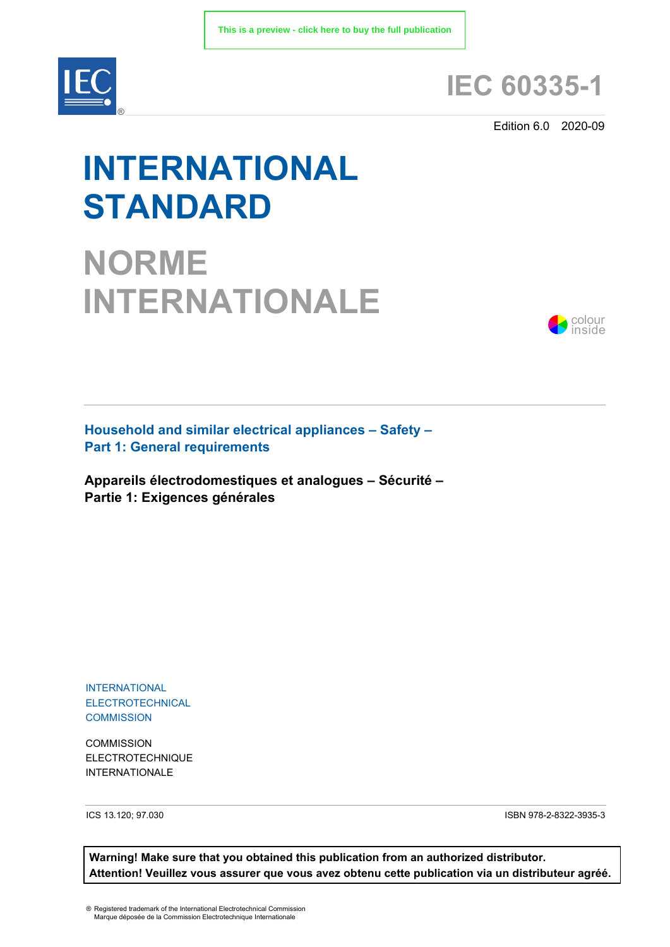

## **IEC 60335-1**

Edition 6.0 2020-09

# **INTERNATIONAL STANDARD**

**NORME INTERNATIONALE**



**Household and similar electrical appliances – Safety – Part 1: General requirements** 

**Appareils électrodomestiques et analogues – Sécurité – Partie 1: Exigences générales**

INTERNATIONAL ELECTROTECHNICAL **COMMISSION** 

**COMMISSION** ELECTROTECHNIQUE INTERNATIONALE

ICS 13.120; 97.030 ISBN 978-2-8322-3935-3

**Warning! Make sure that you obtained this publication from an authorized distributor. Attention! Veuillez vous assurer que vous avez obtenu cette publication via un distributeur agréé.**

® Registered trademark of the International Electrotechnical Commission Marque déposée de la Commission Electrotechnique Internationale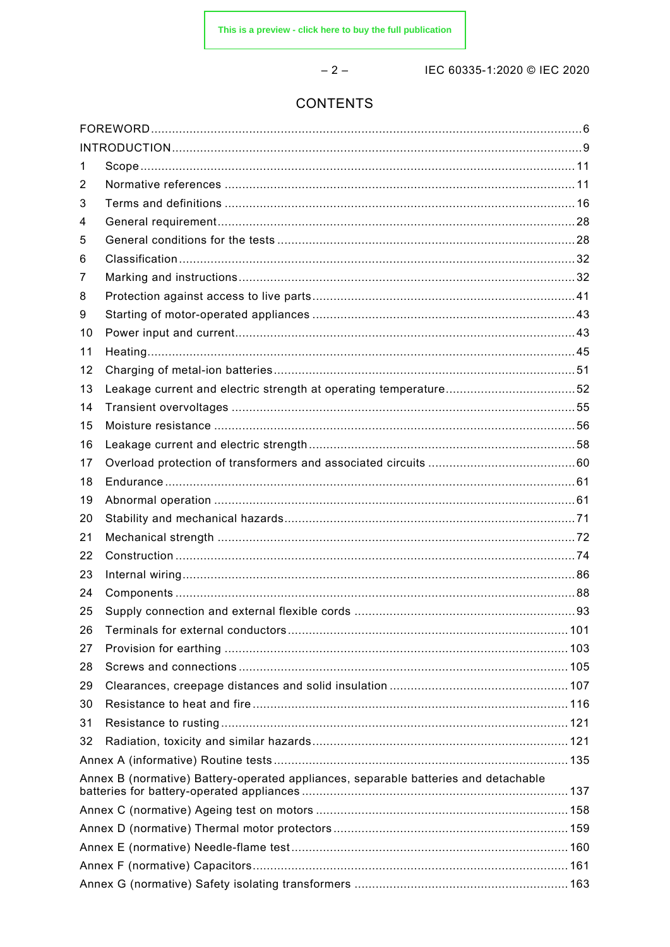$-2-$ 

IEC 60335-1:2020 © IEC 2020

### **CONTENTS**

| 1<br>2<br>3<br>4<br>5<br>6<br>7<br>8<br>9<br>10<br>11<br>12<br>13<br>14<br>15<br>16<br>17<br>18<br>19<br>20<br>21<br>22<br>23<br>24<br>25<br>26<br>27<br>28<br>29<br>30<br>31<br>32<br>Annex B (normative) Battery-operated appliances, separable batteries and detachable |  |  |  |  |
|----------------------------------------------------------------------------------------------------------------------------------------------------------------------------------------------------------------------------------------------------------------------------|--|--|--|--|
|                                                                                                                                                                                                                                                                            |  |  |  |  |
|                                                                                                                                                                                                                                                                            |  |  |  |  |
|                                                                                                                                                                                                                                                                            |  |  |  |  |
|                                                                                                                                                                                                                                                                            |  |  |  |  |
|                                                                                                                                                                                                                                                                            |  |  |  |  |
|                                                                                                                                                                                                                                                                            |  |  |  |  |
|                                                                                                                                                                                                                                                                            |  |  |  |  |
|                                                                                                                                                                                                                                                                            |  |  |  |  |
|                                                                                                                                                                                                                                                                            |  |  |  |  |
|                                                                                                                                                                                                                                                                            |  |  |  |  |
|                                                                                                                                                                                                                                                                            |  |  |  |  |
|                                                                                                                                                                                                                                                                            |  |  |  |  |
|                                                                                                                                                                                                                                                                            |  |  |  |  |
|                                                                                                                                                                                                                                                                            |  |  |  |  |
|                                                                                                                                                                                                                                                                            |  |  |  |  |
|                                                                                                                                                                                                                                                                            |  |  |  |  |
|                                                                                                                                                                                                                                                                            |  |  |  |  |
|                                                                                                                                                                                                                                                                            |  |  |  |  |
|                                                                                                                                                                                                                                                                            |  |  |  |  |
|                                                                                                                                                                                                                                                                            |  |  |  |  |
|                                                                                                                                                                                                                                                                            |  |  |  |  |
|                                                                                                                                                                                                                                                                            |  |  |  |  |
|                                                                                                                                                                                                                                                                            |  |  |  |  |
|                                                                                                                                                                                                                                                                            |  |  |  |  |
|                                                                                                                                                                                                                                                                            |  |  |  |  |
|                                                                                                                                                                                                                                                                            |  |  |  |  |
|                                                                                                                                                                                                                                                                            |  |  |  |  |
|                                                                                                                                                                                                                                                                            |  |  |  |  |
|                                                                                                                                                                                                                                                                            |  |  |  |  |
|                                                                                                                                                                                                                                                                            |  |  |  |  |
|                                                                                                                                                                                                                                                                            |  |  |  |  |
|                                                                                                                                                                                                                                                                            |  |  |  |  |
|                                                                                                                                                                                                                                                                            |  |  |  |  |
|                                                                                                                                                                                                                                                                            |  |  |  |  |
|                                                                                                                                                                                                                                                                            |  |  |  |  |
|                                                                                                                                                                                                                                                                            |  |  |  |  |
|                                                                                                                                                                                                                                                                            |  |  |  |  |
|                                                                                                                                                                                                                                                                            |  |  |  |  |
|                                                                                                                                                                                                                                                                            |  |  |  |  |
|                                                                                                                                                                                                                                                                            |  |  |  |  |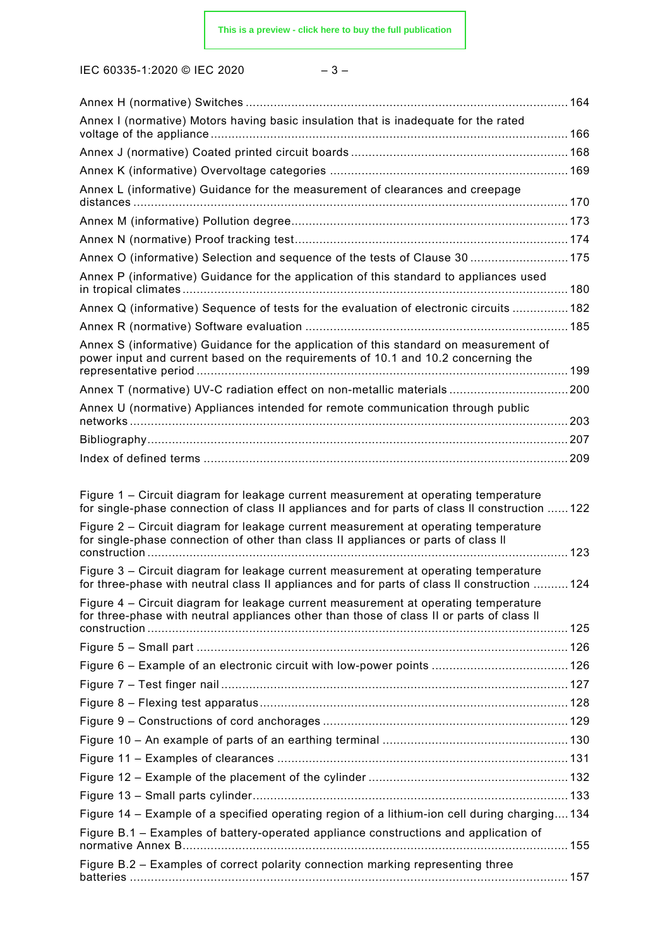IEC 60335-1:2020 © IEC 2020 – 3 –

| Annex I (normative) Motors having basic insulation that is inadequate for the rated                                                                                                                                                                                                                                                                                |  |
|--------------------------------------------------------------------------------------------------------------------------------------------------------------------------------------------------------------------------------------------------------------------------------------------------------------------------------------------------------------------|--|
|                                                                                                                                                                                                                                                                                                                                                                    |  |
|                                                                                                                                                                                                                                                                                                                                                                    |  |
| Annex L (informative) Guidance for the measurement of clearances and creepage                                                                                                                                                                                                                                                                                      |  |
|                                                                                                                                                                                                                                                                                                                                                                    |  |
|                                                                                                                                                                                                                                                                                                                                                                    |  |
|                                                                                                                                                                                                                                                                                                                                                                    |  |
| Annex O (informative) Selection and sequence of the tests of Clause 30  175                                                                                                                                                                                                                                                                                        |  |
| Annex P (informative) Guidance for the application of this standard to appliances used                                                                                                                                                                                                                                                                             |  |
| Annex Q (informative) Sequence of tests for the evaluation of electronic circuits  182                                                                                                                                                                                                                                                                             |  |
|                                                                                                                                                                                                                                                                                                                                                                    |  |
| Annex S (informative) Guidance for the application of this standard on measurement of<br>power input and current based on the requirements of 10.1 and 10.2 concerning the                                                                                                                                                                                         |  |
| Annex T (normative) UV-C radiation effect on non-metallic materials 200                                                                                                                                                                                                                                                                                            |  |
| Annex U (normative) Appliances intended for remote communication through public                                                                                                                                                                                                                                                                                    |  |
|                                                                                                                                                                                                                                                                                                                                                                    |  |
|                                                                                                                                                                                                                                                                                                                                                                    |  |
|                                                                                                                                                                                                                                                                                                                                                                    |  |
| Figure 1 – Circuit diagram for leakage current measurement at operating temperature<br>for single-phase connection of class II appliances and for parts of class II construction  122<br>Figure 2 – Circuit diagram for leakage current measurement at operating temperature<br>for single-phase connection of other than class II appliances or parts of class II |  |
|                                                                                                                                                                                                                                                                                                                                                                    |  |
| Figure 3 - Circuit diagram for leakage current measurement at operating temperature<br>for three-phase with neutral class II appliances and for parts of class II construction  124                                                                                                                                                                                |  |
| Figure 4 – Circuit diagram for leakage current measurement at operating temperature<br>for three-phase with neutral appliances other than those of class II or parts of class II                                                                                                                                                                                   |  |
|                                                                                                                                                                                                                                                                                                                                                                    |  |
|                                                                                                                                                                                                                                                                                                                                                                    |  |
|                                                                                                                                                                                                                                                                                                                                                                    |  |
|                                                                                                                                                                                                                                                                                                                                                                    |  |
|                                                                                                                                                                                                                                                                                                                                                                    |  |
|                                                                                                                                                                                                                                                                                                                                                                    |  |
|                                                                                                                                                                                                                                                                                                                                                                    |  |
|                                                                                                                                                                                                                                                                                                                                                                    |  |
|                                                                                                                                                                                                                                                                                                                                                                    |  |
| Figure 14 – Example of a specified operating region of a lithium-ion cell during charging 134                                                                                                                                                                                                                                                                      |  |
| Figure B.1 - Examples of battery-operated appliance constructions and application of                                                                                                                                                                                                                                                                               |  |
|                                                                                                                                                                                                                                                                                                                                                                    |  |
| Figure B.2 - Examples of correct polarity connection marking representing three                                                                                                                                                                                                                                                                                    |  |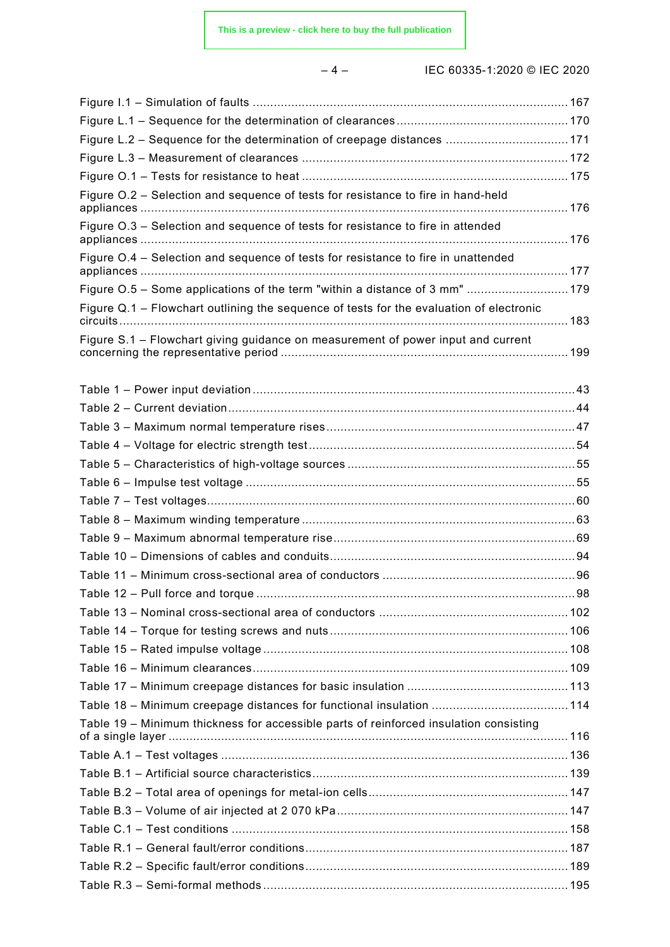– 4 – IEC 60335-1:2020 © IEC 2020

| Figure L.2 - Sequence for the determination of creepage distances  171                  |  |
|-----------------------------------------------------------------------------------------|--|
|                                                                                         |  |
|                                                                                         |  |
| Figure O.2 - Selection and sequence of tests for resistance to fire in hand-held        |  |
| Figure O.3 - Selection and sequence of tests for resistance to fire in attended         |  |
| Figure 0.4 - Selection and sequence of tests for resistance to fire in unattended       |  |
| Figure O.5 - Some applications of the term "within a distance of 3 mm"  179             |  |
| Figure Q.1 - Flowchart outlining the sequence of tests for the evaluation of electronic |  |
| Figure S.1 – Flowchart giving guidance on measurement of power input and current        |  |
|                                                                                         |  |
|                                                                                         |  |
|                                                                                         |  |
|                                                                                         |  |
|                                                                                         |  |
|                                                                                         |  |
|                                                                                         |  |
|                                                                                         |  |
|                                                                                         |  |
|                                                                                         |  |
|                                                                                         |  |
|                                                                                         |  |
|                                                                                         |  |
|                                                                                         |  |
|                                                                                         |  |
|                                                                                         |  |
|                                                                                         |  |
|                                                                                         |  |
| Table 19 - Minimum thickness for accessible parts of reinforced insulation consisting   |  |
|                                                                                         |  |
|                                                                                         |  |
|                                                                                         |  |
|                                                                                         |  |
|                                                                                         |  |
|                                                                                         |  |
|                                                                                         |  |
|                                                                                         |  |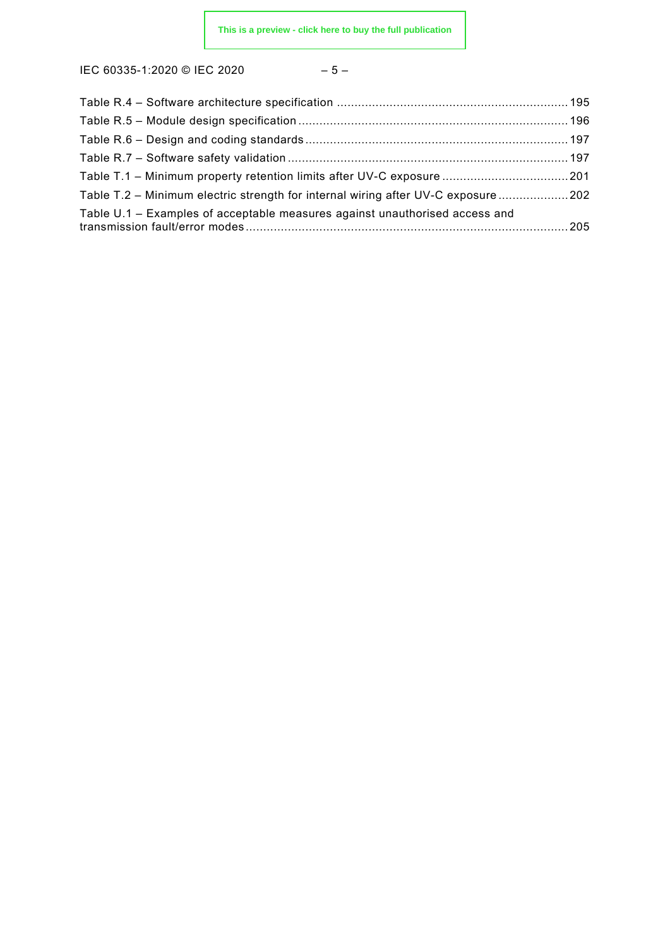IEC 60335-1:2020 © IEC 2020 – 5 –

| Table T.1 - Minimum property retention limits after UV-C exposure  201            |  |
|-----------------------------------------------------------------------------------|--|
| Table T.2 - Minimum electric strength for internal wiring after UV-C exposure 202 |  |
| Table U.1 – Examples of acceptable measures against unauthorised access and       |  |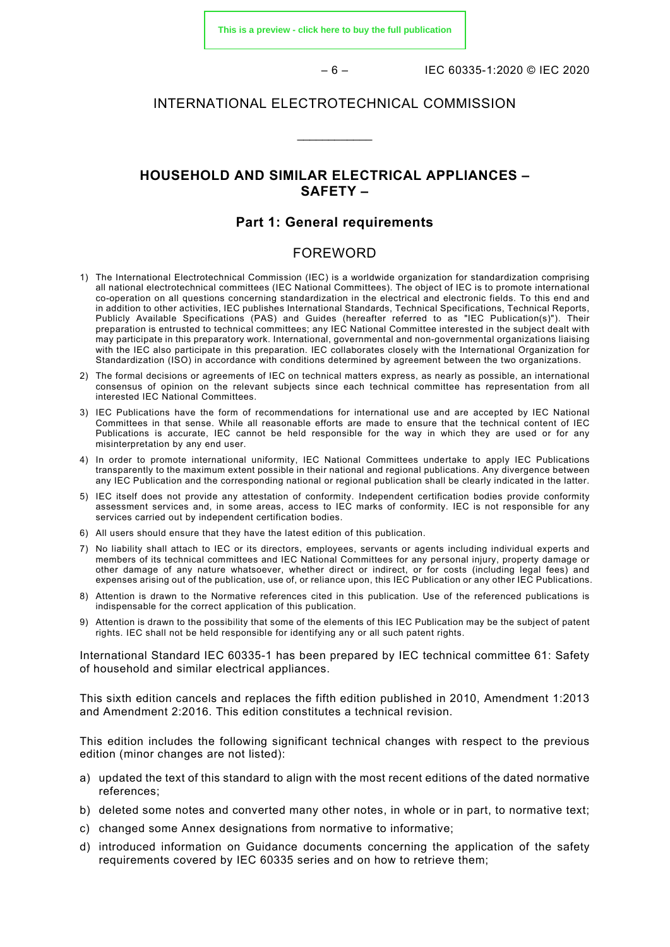**[This is a preview - click here to buy the full publication](https://webstore.iec.ch/publication/61880&preview)**

– 6 – IEC 60335-1:2020 © IEC 2020

### INTERNATIONAL ELECTROTECHNICAL COMMISSION

\_\_\_\_\_\_\_\_\_\_\_\_

### **HOUSEHOLD AND SIMILAR ELECTRICAL APPLIANCES – SAFETY –**

### **Part 1: General requirements**

### FOREWORD

- <span id="page-5-0"></span>1) The International Electrotechnical Commission (IEC) is a worldwide organization for standardization comprising all national electrotechnical committees (IEC National Committees). The object of IEC is to promote international co-operation on all questions concerning standardization in the electrical and electronic fields. To this end and in addition to other activities, IEC publishes International Standards, Technical Specifications, Technical Reports, Publicly Available Specifications (PAS) and Guides (hereafter referred to as "IEC Publication(s)"). Their preparation is entrusted to technical committees; any IEC National Committee interested in the subject dealt with may participate in this preparatory work. International, governmental and non-governmental organizations liaising with the IEC also participate in this preparation. IEC collaborates closely with the International Organization for Standardization (ISO) in accordance with conditions determined by agreement between the two organizations.
- 2) The formal decisions or agreements of IEC on technical matters express, as nearly as possible, an international consensus of opinion on the relevant subjects since each technical committee has representation from all interested IEC National Committees.
- 3) IEC Publications have the form of recommendations for international use and are accepted by IEC National Committees in that sense. While all reasonable efforts are made to ensure that the technical content of IEC Publications is accurate, IEC cannot be held responsible for the way in which they are used or for any misinterpretation by any end user.
- 4) In order to promote international uniformity, IEC National Committees undertake to apply IEC Publications transparently to the maximum extent possible in their national and regional publications. Any divergence between any IEC Publication and the corresponding national or regional publication shall be clearly indicated in the latter.
- 5) IEC itself does not provide any attestation of conformity. Independent certification bodies provide conformity assessment services and, in some areas, access to IEC marks of conformity. IEC is not responsible for any services carried out by independent certification bodies.
- 6) All users should ensure that they have the latest edition of this publication.
- 7) No liability shall attach to IEC or its directors, employees, servants or agents including individual experts and members of its technical committees and IEC National Committees for any personal injury, property damage or other damage of any nature whatsoever, whether direct or indirect, or for costs (including legal fees) and expenses arising out of the publication, use of, or reliance upon, this IEC Publication or any other IEC Publications.
- 8) Attention is drawn to the Normative references cited in this publication. Use of the referenced publications is indispensable for the correct application of this publication.
- 9) Attention is drawn to the possibility that some of the elements of this IEC Publication may be the subject of patent rights. IEC shall not be held responsible for identifying any or all such patent rights.

International Standard IEC 60335-1 has been prepared by IEC technical committee 61: Safety of household and similar electrical appliances.

This sixth edition cancels and replaces the fifth edition published in 2010, Amendment 1:2013 and Amendment 2:2016. This edition constitutes a technical revision.

This edition includes the following significant technical changes with respect to the previous edition (minor changes are not listed):

- a) updated the text of this standard to align with the most recent editions of the dated normative references;
- b) deleted some notes and converted many other notes, in whole or in part, to normative text;
- c) changed some Annex designations from normative to informative;
- d) introduced information on Guidance documents concerning the application of the safety requirements covered by IEC 60335 series and on how to retrieve them;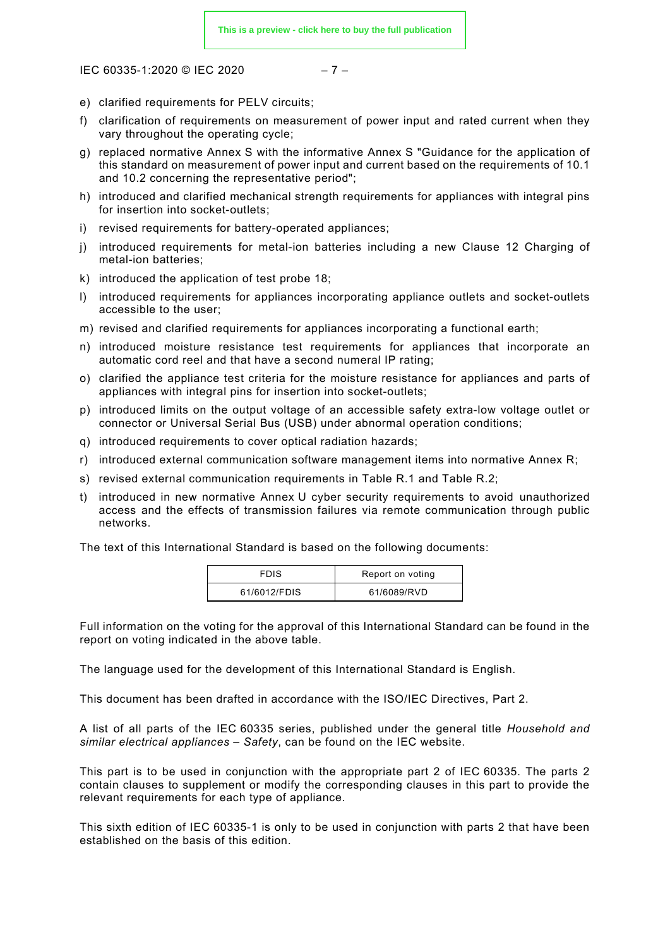IEC 60335-1:2020 © IEC 2020 – 7 –

- e) clarified requirements for PELV circuits;
- f) clarification of requirements on measurement of power input and rated current when they vary throughout the operating cycle;
- g) replaced normative Annex S with the informative Annex S "Guidance for the application of this standard on measurement of power input and current based on the requirements of 10.1 and 10.2 concerning the representative period";
- h) introduced and clarified mechanical strength requirements for appliances with integral pins for insertion into socket-outlets;
- i) revised requirements for battery-operated appliances;
- j) introduced requirements for metal-ion batteries including a new Clause 12 Charging of metal-ion batteries;
- k) introduced the application of test probe 18;
- l) introduced requirements for appliances incorporating appliance outlets and socket-outlets accessible to the user;
- m) revised and clarified requirements for appliances incorporating a functional earth;
- n) introduced moisture resistance test requirements for appliances that incorporate an automatic cord reel and that have a second numeral IP rating;
- o) clarified the appliance test criteria for the moisture resistance for appliances and parts of appliances with integral pins for insertion into socket-outlets;
- p) introduced limits on the output voltage of an accessible safety extra-low voltage outlet or connector or Universal Serial Bus (USB) under abnormal operation conditions;
- q) introduced requirements to cover optical radiation hazards;
- r) introduced external communication software management items into normative Annex R;
- s) revised external communication requirements in Table R.1 and Table R.2;
- t) introduced in new normative Annex U cyber security requirements to avoid unauthorized access and the effects of transmission failures via remote communication through public networks.

The text of this International Standard is based on the following documents:

| <b>FDIS</b>  | Report on voting |
|--------------|------------------|
| 61/6012/FDIS | 61/6089/RVD      |

Full information on the voting for the approval of this International Standard can be found in the report on voting indicated in the above table.

The language used for the development of this International Standard is English.

This document has been drafted in accordance with the ISO/IEC Directives, Part 2.

A list of all parts of the IEC 60335 series, published under the general title *Household and similar electrical appliances – Safety*, can be found on the IEC website.

This part is to be used in conjunction with the appropriate part 2 of IEC 60335. The parts 2 contain clauses to supplement or modify the corresponding clauses in this part to provide the relevant requirements for each type of appliance.

This sixth edition of IEC 60335-1 is only to be used in conjunction with parts 2 that have been established on the basis of this edition.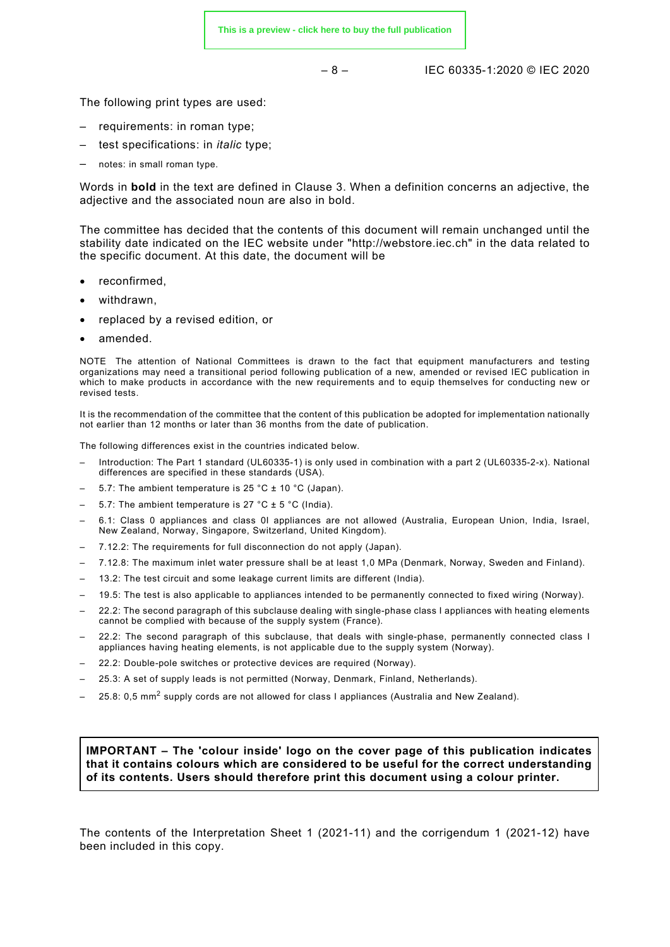– 8 – IEC 60335-1:2020 © IEC 2020

The following print types are used:

- requirements: in roman type;
- test specifications: in *italic* type;
- notes: in small roman type.

Words in **bold** in the text are defined in Clause 3. When a definition concerns an adjective, the adjective and the associated noun are also in bold.

The committee has decided that the contents of this document will remain unchanged until the stability date indicated on the IEC website under "http://webstore.iec.ch" in the data related to the specific document. At this date, the document will be

- reconfirmed,
- withdrawn,
- replaced by a revised edition, or
- amended.

NOTE The attention of National Committees is drawn to the fact that equipment manufacturers and testing organizations may need a transitional period following publication of a new, amended or revised IEC publication in which to make products in accordance with the new requirements and to equip themselves for conducting new or revised tests.

It is the recommendation of the committee that the content of this publication be adopted for implementation nationally not earlier than 12 months or later than 36 months from the date of publication.

The following differences exist in the countries indicated below.

- Introduction: The Part 1 standard (UL60335-1) is only used in combination with a part 2 (UL60335-2-x). National differences are specified in these standards (USA).
- 5.7: The ambient temperature is 25 °C  $\pm$  10 °C (Japan).
- 5.7: The ambient temperature is 27 °C  $\pm$  5 °C (India).
- 6.1: Class 0 appliances and class 0I appliances are not allowed (Australia, European Union, India, Israel, New Zealand, Norway, Singapore, Switzerland, United Kingdom).
- 7.12.2: The requirements for full disconnection do not apply (Japan).
- 7.12.8: The maximum inlet water pressure shall be at least 1,0 MPa (Denmark, Norway, Sweden and Finland).
- 13.2: The test circuit and some leakage current limits are different (India).
- 19.5: The test is also applicable to appliances intended to be permanently connected to fixed wiring (Norway).
- 22.2: The second paragraph of this subclause dealing with single-phase class I appliances with heating elements cannot be complied with because of the supply system (France).
- 22.2: The second paragraph of this subclause, that deals with single-phase, permanently connected class I appliances having heating elements, is not applicable due to the supply system (Norway).
- 22.2: Double-pole switches or protective devices are required (Norway).
- 25.3: A set of supply leads is not permitted (Norway, Denmark, Finland, Netherlands).
- 25.8: 0,5 mm<sup>2</sup> supply cords are not allowed for class I appliances (Australia and New Zealand).

**IMPORTANT – The 'colour inside' logo on the cover page of this publication indicates that it contains colours which are considered to be useful for the correct understanding of its contents. Users should therefore print this document using a colour printer.**

<span id="page-7-0"></span>The contents of the Interpretation Sheet 1 (2021-11) and the corrigendum 1 (2021-12) have been included in this copy.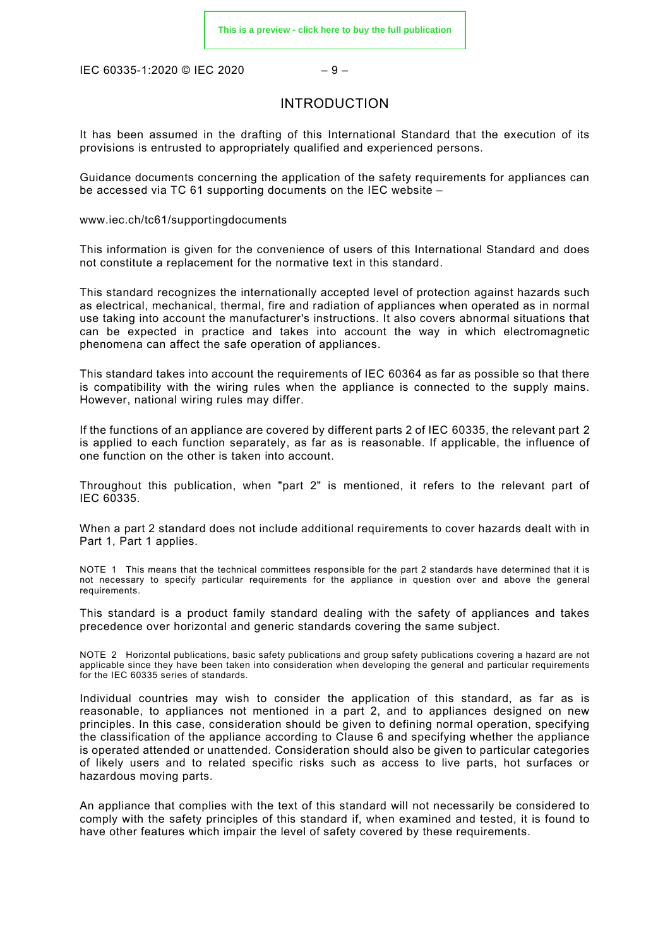IEC 60335-1:2020 © IEC 2020 – 9 –

### INTRODUCTION

It has been assumed in the drafting of this International Standard that the execution of its provisions is entrusted to appropriately qualified and experienced persons.

Guidance documents concerning the application of the safety requirements for appliances can be accessed via TC 61 supporting documents on the IEC website –

[www.iec.ch/tc61/supportingdocuments](http://www.iec.ch/tc61/supportingdocuments)

This information is given for the convenience of users of this International Standard and does not constitute a replacement for the normative text in this standard.

This standard recognizes the internationally accepted level of protection against hazards such as electrical, mechanical, thermal, fire and radiation of appliances when operated as in normal use taking into account the manufacturer's instructions. It also covers abnormal situations that can be expected in practice and takes into account the way in which electromagnetic phenomena can affect the safe operation of appliances.

This standard takes into account the requirements of IEC 60364 as far as possible so that there is compatibility with the wiring rules when the appliance is connected to the supply mains. However, national wiring rules may differ.

If the functions of an appliance are covered by different parts 2 of IEC 60335, the relevant part 2 is applied to each function separately, as far as is reasonable. If applicable, the influence of one function on the other is taken into account.

Throughout this publication, when "part 2" is mentioned, it refers to the relevant part of IEC 60335.

When a part 2 standard does not include additional requirements to cover hazards dealt with in Part 1, Part 1 applies.

NOTE 1 This means that the technical committees responsible for the part 2 standards have determined that it is not necessary to specify particular requirements for the appliance in question over and above the general requirements.

This standard is a product family standard dealing with the safety of appliances and takes precedence over horizontal and generic standards covering the same subject.

NOTE 2 Horizontal publications, basic safety publications and group safety publications covering a hazard are not applicable since they have been taken into consideration when developing the general and particular requirements for the IEC 60335 series of standards.

Individual countries may wish to consider the application of this standard, as far as is reasonable, to appliances not mentioned in a part 2, and to appliances designed on new principles. In this case, consideration should be given to defining normal operation, specifying the classification of the appliance according to Clause 6 and specifying whether the appliance is operated attended or unattended. Consideration should also be given to particular categories of likely users and to related specific risks such as access to live parts, hot surfaces or hazardous moving parts.

An appliance that complies with the text of this standard will not necessarily be considered to comply with the safety principles of this standard if, when examined and tested, it is found to have other features which impair the level of safety covered by these requirements.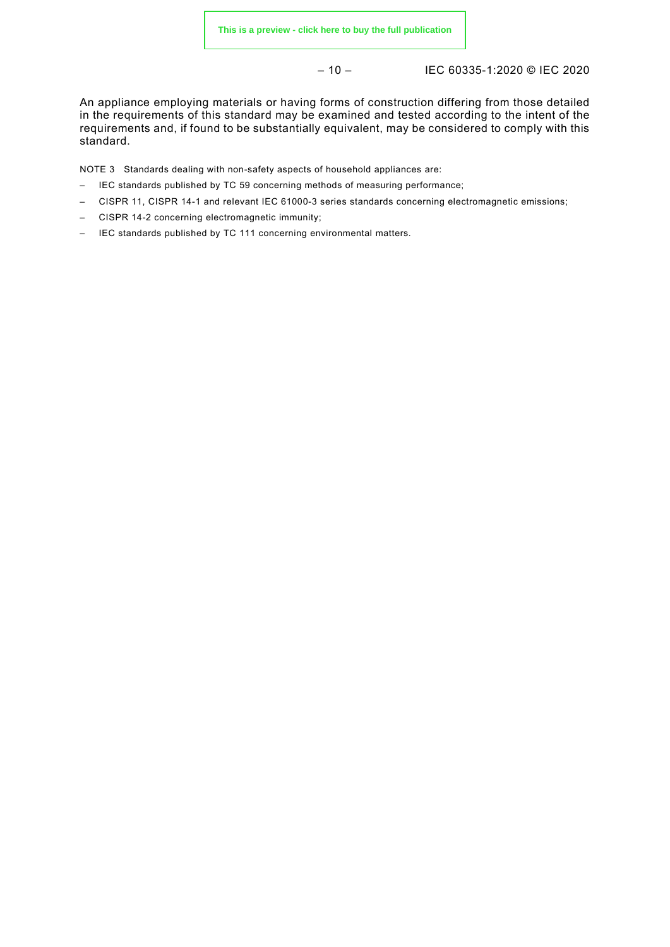– 10 – IEC 60335-1:2020 © IEC 2020

An appliance employing materials or having forms of construction differing from those detailed in the requirements of this standard may be examined and tested according to the intent of the requirements and, if found to be substantially equivalent, may be considered to comply with this standard.

NOTE 3 Standards dealing with non-safety aspects of household appliances are:

- IEC standards published by TC 59 concerning methods of measuring performance;
- CISPR 11, CISPR 14-1 and relevant IEC 61000-3 series standards concerning electromagnetic emissions;
- CISPR 14-2 concerning electromagnetic immunity;
- IEC standards published by TC 111 concerning environmental matters*.*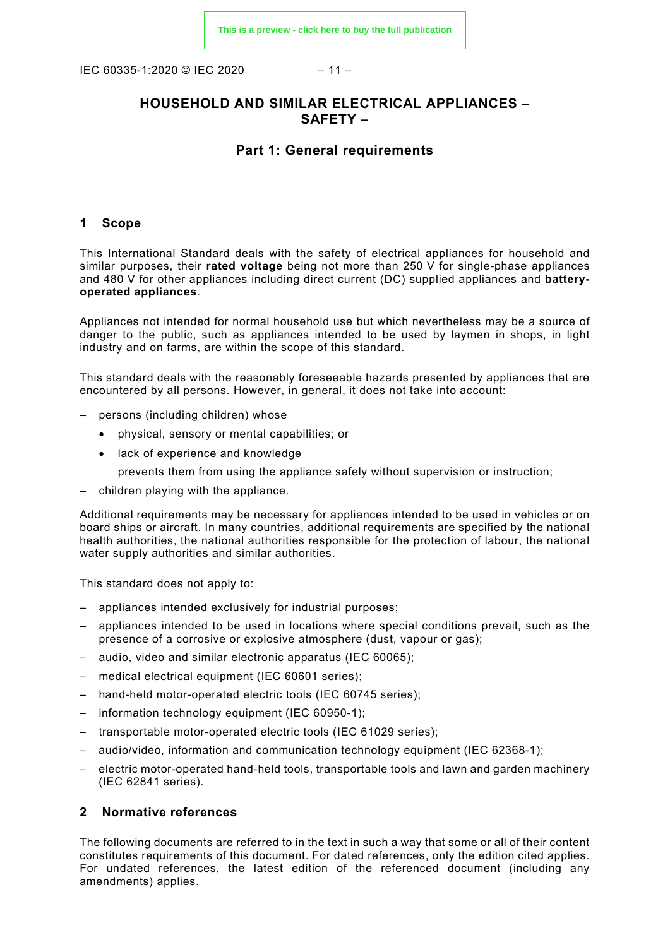IEC 60335-1:2020 © IEC 2020 – 11 –

### **HOUSEHOLD AND SIMILAR ELECTRICAL APPLIANCES – SAFETY –**

### **Part 1: General requirements**

### <span id="page-10-0"></span>**1 Scope**

This International Standard deals with the safety of electrical appliances for household and similar purposes, their **rated voltage** being not more than 250 V for single-phase appliances and 480 V for other appliances including direct current (DC) supplied appliances and **batteryoperated appliances**.

Appliances not intended for normal household use but which nevertheless may be a source of danger to the public, such as appliances intended to be used by laymen in shops, in light industry and on farms, are within the scope of this standard.

This standard deals with the reasonably foreseeable hazards presented by appliances that are encountered by all persons. However, in general, it does not take into account:

- persons (including children) whose
	- physical, sensory or mental capabilities; or
	- lack of experience and knowledge
		- prevents them from using the appliance safely without supervision or instruction;
- children playing with the appliance.

Additional requirements may be necessary for appliances intended to be used in vehicles or on board ships or aircraft. In many countries, additional requirements are specified by the national health authorities, the national authorities responsible for the protection of labour, the national water supply authorities and similar authorities.

This standard does not apply to:

- appliances intended exclusively for industrial purposes;
- appliances intended to be used in locations where special conditions prevail, such as the presence of a corrosive or explosive atmosphere (dust, vapour or gas);
- audio, video and similar electronic apparatus (IEC 60065);
- medical electrical equipment (IEC 60601 series);
- hand-held motor-operated electric tools (IEC 60745 series);
- information technology equipment (IEC 60950-1);
- transportable motor-operated electric tools (IEC 61029 series);
- audio/video, information and communication technology equipment (IEC 62368-1);
- electric motor-operated hand-held tools, transportable tools and lawn and garden machinery (IEC 62841 series).

### <span id="page-10-1"></span>**2 Normative references**

The following documents are referred to in the text in such a way that some or all of their content constitutes requirements of this document. For dated references, only the edition cited applies. For undated references, the latest edition of the referenced document (including any amendments) applies.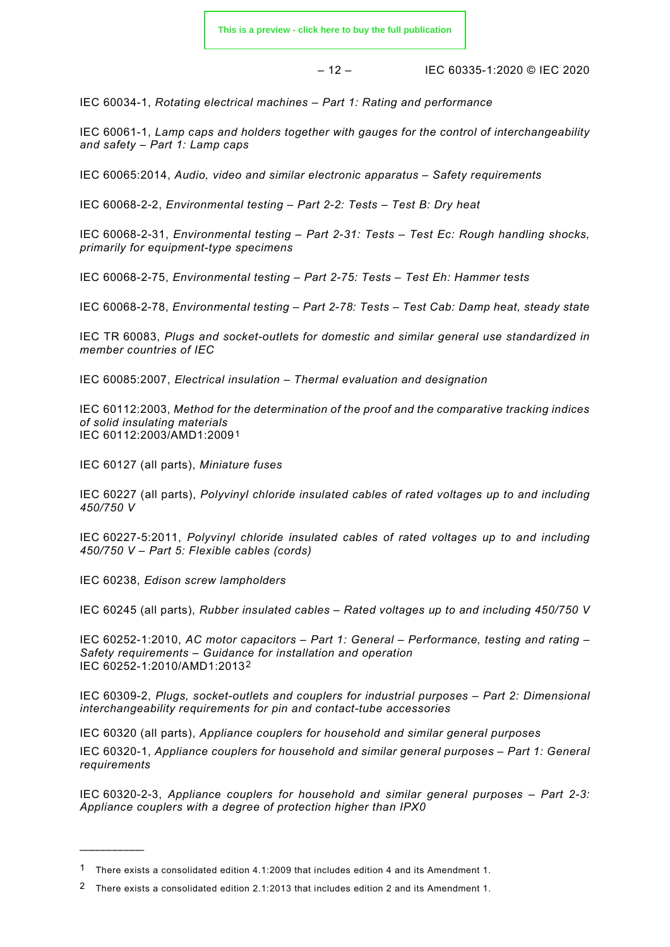$-12 -$  IEC 60335-1:2020 © IEC 2020

IEC 60034-1, *Rotating electrical machines – Part 1: Rating and performance*

IEC 60061-1, *Lamp caps and holders together with gauges for the control of interchangeability and safety – Part 1: Lamp caps*

IEC 60065:2014, *Audio, video and similar electronic apparatus – Safety requirements*

IEC 60068-2-2, *Environmental testing – Part 2-2: Tests – Test B: Dry heat*

IEC 60068-2-31, *Environmental testing – Part 2-31: Tests – Test Ec: Rough handling shocks, primarily for equipment-type specimens*

IEC 60068-2-75, *Environmental testing – Part 2-75: Tests – Test Eh: Hammer tests*

IEC 60068-2-78, *Environmental testing – Part 2-78: Tests – Test Cab: Damp heat, steady state*

IEC TR 60083, *Plugs and socket-outlets for domestic and similar general use standardized in member countries of IEC*

IEC 60085:2007, *Electrical insulation – Thermal evaluation and designation*

IEC 60112:2003, *Method for the determination of the proof and the comparative tracking indices of solid insulating materials* IEC 60112:2003/AMD1:2009[1](#page-11-0)

IEC 60127 (all parts), *Miniature fuses*

IEC 60227 (all parts), *Polyvinyl chloride insulated cables of rated voltages up to and including 450/750 V*

IEC 60227-5:2011, *Polyvinyl chloride insulated cables of rated voltages up to and including 450/750 V – Part 5: Flexible cables (cords)*

IEC 60238, *Edison screw lampholders*

\_\_\_\_\_\_\_\_\_\_\_\_\_\_

IEC 60245 (all parts), *Rubber insulated cables – Rated voltages up to and including 450/750 V*

IEC 60252-1:2010, *AC motor capacitors – Part 1: General – Performance, testing and rating – Safety requirements – Guidance for installation and operation* IEC 60252-1:2010/AMD1:2013[2](#page-11-1)

IEC 60309-2, *Plugs, socket-outlets and couplers for industrial purposes – Part 2: Dimensional interchangeability requirements for pin and contact-tube accessories*

IEC 60320 (all parts), *Appliance couplers for household and similar general purposes*

IEC 60320-1, *Appliance couplers for household and similar general purposes – Part 1: General requirements*

IEC 60320-2-3, *Appliance couplers for household and similar general purposes – Part 2-3: Appliance couplers with a degree of protection higher than IPX0*

<span id="page-11-0"></span><sup>1</sup> There exists a consolidated edition 4.1:2009 that includes edition 4 and its Amendment 1.

<span id="page-11-1"></span><sup>2</sup> There exists a consolidated edition 2.1:2013 that includes edition 2 and its Amendment 1.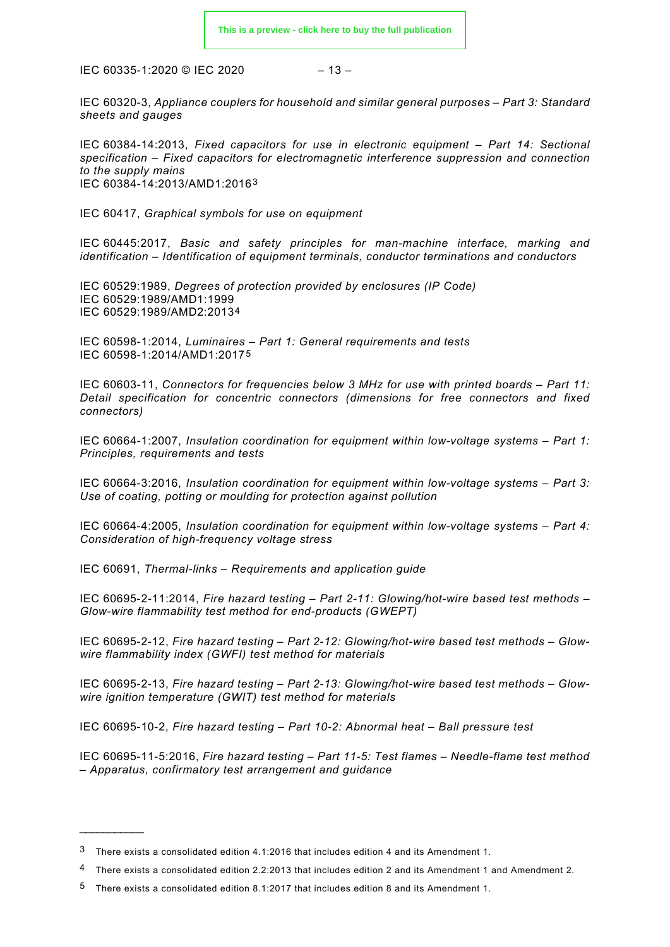$$
-13-
$$

IEC 60320-3, *Appliance couplers for household and similar general purposes – Part 3: Standard sheets and gauges*

IEC 60384-14:2013, *Fixed capacitors for use in electronic equipment – Part 14: Sectional specification – Fixed capacitors for electromagnetic interference suppression and connection to the supply mains* IEC 60384-14:2013/AMD1:2016[3](#page-12-0)

IEC 60417, *Graphical symbols for use on equipment*

IEC 60445:2017, *Basic and safety principles for man-machine interface, marking and identification – Identification of equipment terminals, conductor terminations and conductors*

IEC 60529:1989, *Degrees of protection provided by enclosures (IP Code)* IEC 60529:1989/AMD1:1999 IEC 60529:1989/AMD2:2013[4](#page-12-1)

IEC 60598-1:2014, *Luminaires – Part 1: General requirements and tests* IEC 60598-1:2014/AMD1:2017[5](#page-12-2)

IEC 60603-11, *Connectors for frequencies below 3 MHz for use with printed boards – Part 11: Detail specification for concentric connectors (dimensions for free connectors and fixed connectors)*

IEC 60664-1:2007, *Insulation coordination for equipment within low-voltage systems – Part 1: Principles, requirements and tests*

IEC 60664-3:2016, *Insulation coordination for equipment within low-voltage systems – Part 3: Use of coating, potting or moulding for protection against pollution*

IEC 60664-4:2005, *Insulation coordination for equipment within low-voltage systems – Part 4: Consideration of high-frequency voltage stress*

IEC 60691, *Thermal-links – Requirements and application guide*

IEC 60695-2-11:2014, *Fire hazard testing – Part 2-11: Glowing/hot-wire based test methods – Glow-wire flammability test method for end-products (GWEPT)*

IEC 60695-2-12, *Fire hazard testing – Part 2-12: Glowing/hot-wire based test methods – Glowwire flammability index (GWFI) test method for materials*

IEC 60695-2-13, *Fire hazard testing – Part 2-13: Glowing/hot-wire based test methods – Glowwire ignition temperature (GWIT) test method for materials*

IEC 60695-10-2, *Fire hazard testing – Part 10-2: Abnormal heat – Ball pressure test*

IEC 60695-11-5:2016, *Fire hazard testing – Part 11-5: Test flames – Needle-flame test method – Apparatus, confirmatory test arrangement and guidance*

 $\overline{\phantom{a}}$ 

<span id="page-12-0"></span><sup>3</sup> There exists a consolidated edition 4.1:2016 that includes edition 4 and its Amendment 1.

<span id="page-12-1"></span><sup>4</sup> There exists a consolidated edition 2.2:2013 that includes edition 2 and its Amendment 1 and Amendment 2.

<span id="page-12-2"></span><sup>5</sup> There exists a consolidated edition 8.1:2017 that includes edition 8 and its Amendment 1.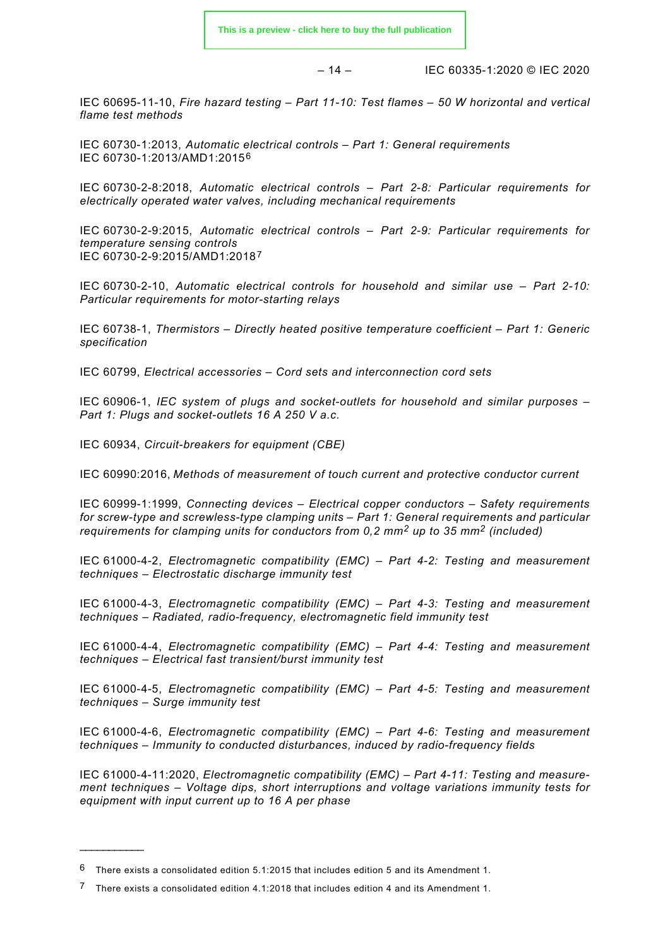$-14 -$  IEC 60335-1:2020 © IEC 2020

IEC 60695-11-10, *Fire hazard testing – Part 11-10: Test flames – 50 W horizontal and vertical flame test methods*

IEC 60730-1:2013, *Automatic electrical controls – Part 1: General requirements* IEC 60730-1:2013/AMD1:2015[6](#page-13-0)

IEC 60730-2-8:2018, *Automatic electrical controls – Part 2-8: Particular requirements for electrically operated water valves, including mechanical requirements*

IEC 60730-2-9:2015, *Automatic electrical controls – Part 2-9: Particular requirements for temperature sensing controls* IEC 60730-2-9:2015/AMD1:2018[7](#page-13-1)

IEC 60730-2-10, *Automatic electrical controls for household and similar use – Part 2-10: Particular requirements for motor-starting relays*

IEC 60738-1, *Thermistors – Directly heated positive temperature coefficient – Part 1: Generic specification*

IEC 60799, *Electrical accessories – Cord sets and interconnection cord sets*

IEC 60906-1, *IEC system of plugs and socket-outlets for household and similar purposes – Part 1: Plugs and socket-outlets 16 A 250 V a.c.*

IEC 60934, *Circuit-breakers for equipment (CBE)*

IEC 60990:2016, *Methods of measurement of touch current and protective conductor current*

IEC 60999-1:1999, *Connecting devices – Electrical copper conductors – Safety requirements for screw-type and screwless-type clamping units – Part 1: General requirements and particular requirements for clamping units for conductors from 0,2 mm<sup>2</sup> up to 35 mm<sup>2</sup> (included)*

IEC 61000-4-2, *Electromagnetic compatibility (EMC) – Part 4-2: Testing and measurement techniques – Electrostatic discharge immunity test*

IEC 61000-4-3, *Electromagnetic compatibility (EMC) – Part 4-3: Testing and measurement techniques – Radiated, radio-frequency, electromagnetic field immunity test*

IEC 61000-4-4, *Electromagnetic compatibility (EMC) – Part 4-4: Testing and measurement techniques – Electrical fast transient/burst immunity test*

IEC 61000-4-5, *Electromagnetic compatibility (EMC) – Part 4-5: Testing and measurement techniques – Surge immunity test*

IEC 61000-4-6, *Electromagnetic compatibility (EMC) – Part 4-6: Testing and measurement techniques – Immunity to conducted disturbances, induced by radio-frequency fields*

IEC 61000-4-11:2020, *Electromagnetic compatibility (EMC) – Part 4-11: Testing and measurement techniques – Voltage dips, short interruptions and voltage variations immunity tests for equipment with input current up to 16 A per phase*

\_\_\_\_\_\_\_\_\_\_\_\_\_\_

<span id="page-13-0"></span><sup>6</sup> There exists a consolidated edition 5.1:2015 that includes edition 5 and its Amendment 1.

<span id="page-13-1"></span><sup>7</sup> There exists a consolidated edition 4.1:2018 that includes edition 4 and its Amendment 1.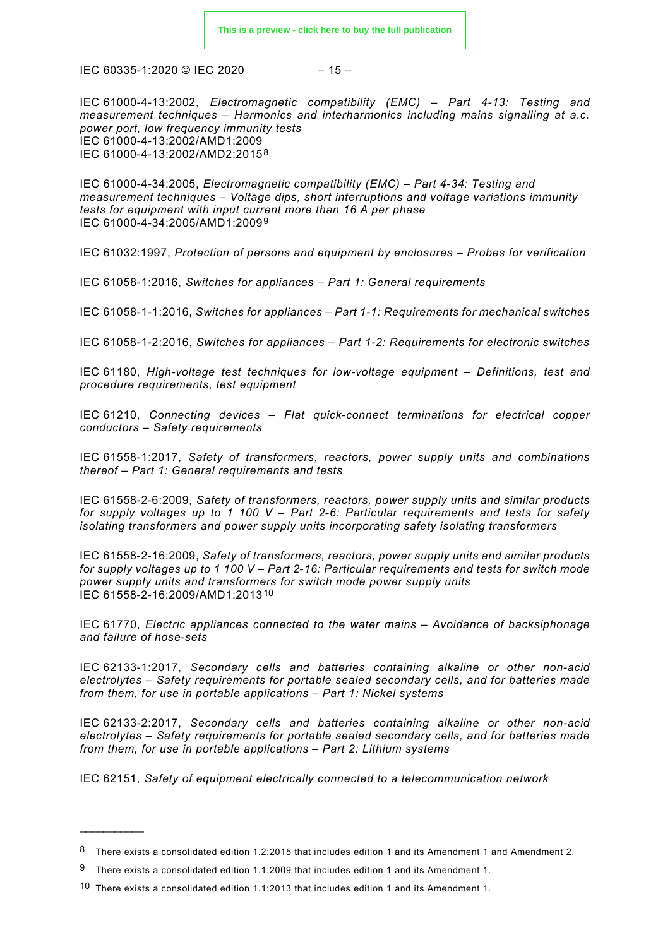$$
-15-
$$

IEC 61000-4-13:2002, *Electromagnetic compatibility (EMC) – Part 4-13: Testing and measurement techniques – Harmonics and interharmonics including mains signalling at a.c. power port, low frequency immunity tests* IEC 61000-4-13:2002/AMD1:2009 IEC 61000-4-13:2002/AMD2:2015[8](#page-14-0)

IEC 61000-4-34:2005, *Electromagnetic compatibility (EMC) – Part 4-34: Testing and measurement techniques – Voltage dips, short interruptions and voltage variations immunity tests for equipment with input current more than 16 A per phase* IEC 61000-4-34:2005/AMD1:2009[9](#page-14-1)

IEC 61032:1997, *Protection of persons and equipment by enclosures – Probes for verification*

IEC 61058-1:2016, *Switches for appliances – Part 1: General requirements*

IEC 61058-1-1:2016, *Switches for appliances – Part 1-1: Requirements for mechanical switches*

IEC 61058-1-2:2016, *Switches for appliances – Part 1-2: Requirements for electronic switches*

IEC 61180, *High-voltage test techniques for low-voltage equipment – Definitions, test and procedure requirements, test equipment*

IEC 61210, *Connecting devices – Flat quick-connect terminations for electrical copper conductors – Safety requirements*

IEC 61558-1:2017, *Safety of transformers, reactors, power supply units and combinations thereof – Part 1: General requirements and tests*

IEC 61558-2-6:2009, *Safety of transformers, reactors, power supply units and similar products for supply voltages up to 1 100 V – Part 2-6: Particular requirements and tests for safety isolating transformers and power supply units incorporating safety isolating transformers*

IEC 61558-2-16:2009, *Safety of transformers, reactors, power supply units and similar products for supply voltages up to 1 100 V – Part 2-16: Particular requirements and tests for switch mode power supply units and transformers for switch mode power supply units* IEC 61558-2-16:2009/AMD1:2013[10](#page-14-2)

IEC 61770, *Electric appliances connected to the water mains – Avoidance of backsiphonage and failure of hose-sets*

IEC 62133-1:2017, *Secondary cells and batteries containing alkaline or other non-acid electrolytes – Safety requirements for portable sealed secondary cells, and for batteries made from them, for use in portable applications – Part 1: Nickel systems*

IEC 62133-2:2017, *Secondary cells and batteries containing alkaline or other non-acid electrolytes – Safety requirements for portable sealed secondary cells, and for batteries made from them, for use in portable applications – Part 2: Lithium systems*

IEC 62151, *Safety of equipment electrically connected to a telecommunication network*

\_\_\_\_\_\_\_\_\_\_\_\_\_\_

<span id="page-14-0"></span><sup>8</sup> There exists a consolidated edition 1.2:2015 that includes edition 1 and its Amendment 1 and Amendment 2.

<span id="page-14-1"></span><sup>9</sup> There exists a consolidated edition 1.1:2009 that includes edition 1 and its Amendment 1.

<span id="page-14-2"></span><sup>10</sup> There exists a consolidated edition 1.1:2013 that includes edition 1 and its Amendment 1.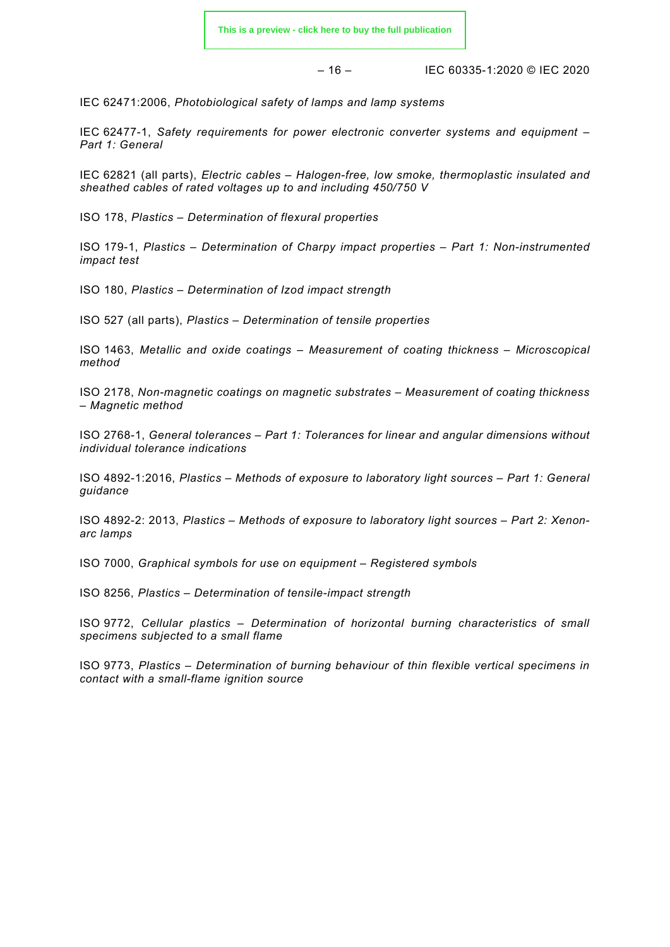$$
-16-
$$

– 16 – IEC 60335-1:2020 © IEC 2020

IEC 62471:2006, *Photobiological safety of lamps and lamp systems*

IEC 62477-1, *Safety requirements for power electronic converter systems and equipment – Part 1: General*

IEC 62821 (all parts), *Electric cables – Halogen-free, low smoke, thermoplastic insulated and sheathed cables of rated voltages up to and including 450/750 V*

ISO 178, *Plastics – Determination of flexural properties*

ISO 179-1, *Plastics – Determination of Charpy impact properties – Part 1: Non-instrumented impact test*

ISO 180, *Plastics – Determination of Izod impact strength*

ISO 527 (all parts), *Plastics – Determination of tensile properties* 

ISO 1463, *Metallic and oxide coatings – Measurement of coating thickness – Microscopical method*

ISO 2178, *Non-magnetic coatings on magnetic substrates – Measurement of coating thickness – Magnetic method*

ISO 2768-1, *General tolerances – Part 1: Tolerances for linear and angular dimensions without individual tolerance indications*

ISO 4892-1:2016, *Plastics – Methods of exposure to laboratory light sources – Part 1: General guidance*

ISO 4892-2: 2013, *Plastics – Methods of exposure to laboratory light sources – Part 2: Xenonarc lamps*

ISO 7000, *Graphical symbols for use on equipment – Registered symbols*

ISO 8256, *Plastics – Determination of tensile-impact strength*

ISO 9772, *Cellular plastics – Determination of horizontal burning characteristics of small specimens subjected to a small flame*

<span id="page-15-0"></span>ISO 9773, *Plastics – Determination of burning behaviour of thin flexible vertical specimens in contact with a small-flame ignition source*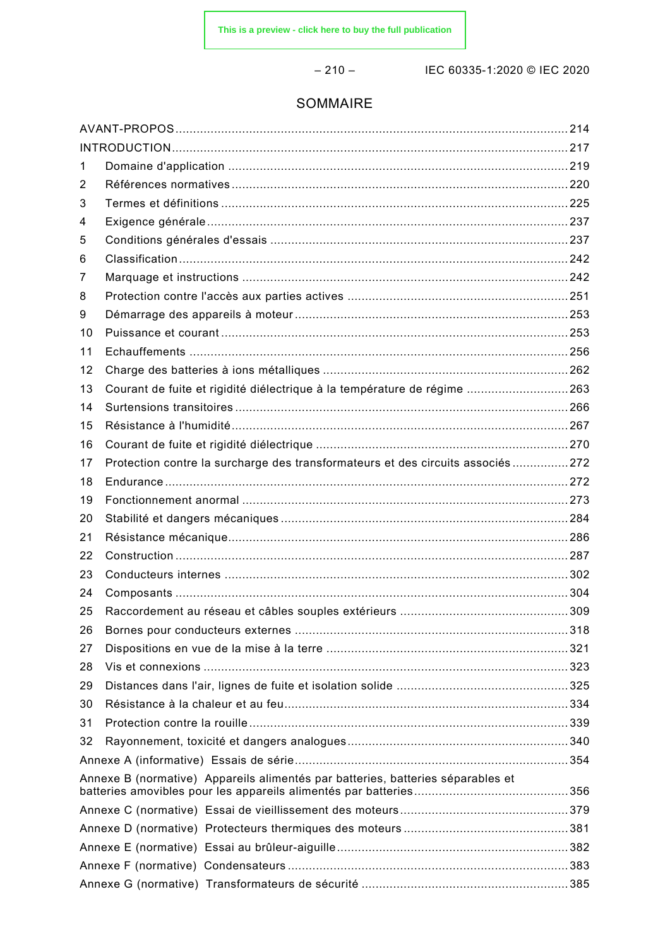– 210 – IEC 60335-1:2020 © IEC 2020

### SOMMAIRE

| 1  |                                                                                  |  |
|----|----------------------------------------------------------------------------------|--|
| 2  |                                                                                  |  |
| 3  |                                                                                  |  |
| 4  |                                                                                  |  |
| 5  |                                                                                  |  |
| 6  |                                                                                  |  |
| 7  |                                                                                  |  |
| 8  |                                                                                  |  |
| 9  |                                                                                  |  |
| 10 |                                                                                  |  |
| 11 |                                                                                  |  |
| 12 |                                                                                  |  |
| 13 | Courant de fuite et rigidité diélectrique à la température de régime 263         |  |
| 14 |                                                                                  |  |
| 15 |                                                                                  |  |
| 16 |                                                                                  |  |
| 17 | Protection contre la surcharge des transformateurs et des circuits associés  272 |  |
| 18 |                                                                                  |  |
| 19 |                                                                                  |  |
| 20 |                                                                                  |  |
| 21 |                                                                                  |  |
| 22 |                                                                                  |  |
| 23 |                                                                                  |  |
| 24 |                                                                                  |  |
| 25 |                                                                                  |  |
| 26 |                                                                                  |  |
| 27 |                                                                                  |  |
| 28 |                                                                                  |  |
| 29 |                                                                                  |  |
| 30 |                                                                                  |  |
| 31 |                                                                                  |  |
| 32 |                                                                                  |  |
|    |                                                                                  |  |
|    | Annexe B (normative) Appareils alimentés par batteries, batteries séparables et  |  |
|    |                                                                                  |  |
|    |                                                                                  |  |
|    |                                                                                  |  |
|    |                                                                                  |  |
|    |                                                                                  |  |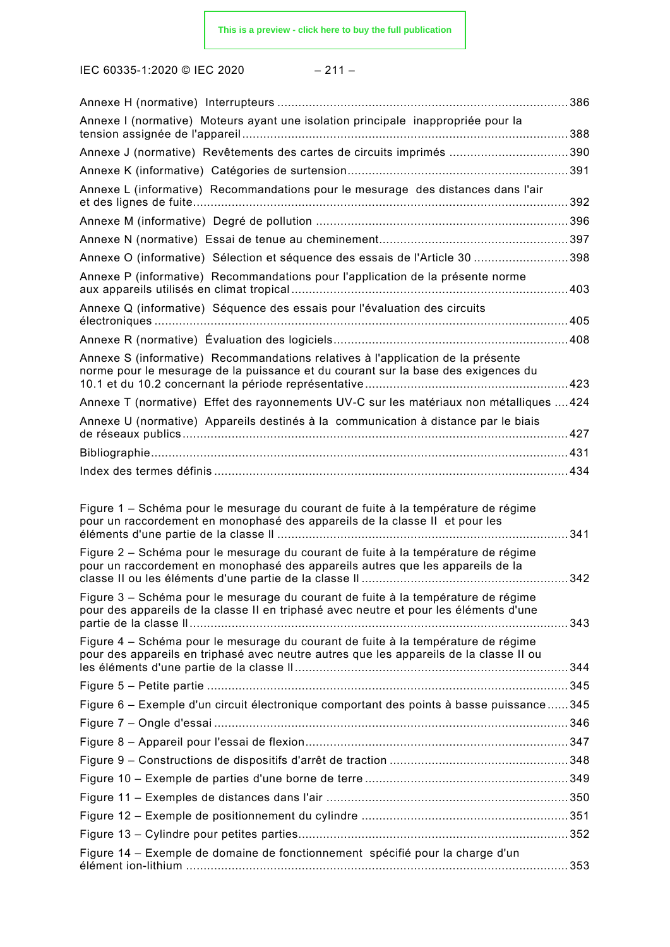IEC 60335-1:2020 © IEC 2020 – 211 –

|                                                                                                                                                                             | . 386 |
|-----------------------------------------------------------------------------------------------------------------------------------------------------------------------------|-------|
| Annexe I (normative) Moteurs ayant une isolation principale inappropriée pour la                                                                                            |       |
| Annexe J (normative) Revêtements des cartes de circuits imprimés 390                                                                                                        |       |
|                                                                                                                                                                             |       |
| Annexe L (informative) Recommandations pour le mesurage des distances dans l'air                                                                                            |       |
|                                                                                                                                                                             |       |
|                                                                                                                                                                             |       |
| Annexe O (informative) Sélection et séquence des essais de l'Article 30 398                                                                                                 |       |
| Annexe P (informative) Recommandations pour l'application de la présente norme                                                                                              | .403  |
| Annexe Q (informative) Séquence des essais pour l'évaluation des circuits                                                                                                   |       |
|                                                                                                                                                                             |       |
| Annexe S (informative) Recommandations relatives à l'application de la présente<br>norme pour le mesurage de la puissance et du courant sur la base des exigences du        |       |
| Annexe T (normative) Effet des rayonnements UV-C sur les matériaux non métalliques  424                                                                                     |       |
| Annexe U (normative) Appareils destinés à la communication à distance par le biais                                                                                          |       |
|                                                                                                                                                                             |       |
|                                                                                                                                                                             |       |
|                                                                                                                                                                             |       |
| Figure 1 – Schéma pour le mesurage du courant de fuite à la température de régime<br>pour un raccordement en monophasé des appareils de la classe II et pour les            | 341   |
| Figure 2 – Schéma pour le mesurage du courant de fuite à la température de régime<br>pour un raccordement en monophasé des appareils autres que les appareils de la         | 342   |
| Figure 3 – Schéma pour le mesurage du courant de fuite à la température de régime<br>pour des appareils de la classe II en triphasé avec neutre et pour les éléments d'une  |       |
| Figure 4 – Schéma pour le mesurage du courant de fuite à la température de régime<br>pour des appareils en triphasé avec neutre autres que les appareils de la classe II ou |       |
|                                                                                                                                                                             |       |
|                                                                                                                                                                             |       |
| Figure 6 - Exemple d'un circuit électronique comportant des points à basse puissance  345                                                                                   |       |
|                                                                                                                                                                             |       |
|                                                                                                                                                                             |       |
|                                                                                                                                                                             |       |
|                                                                                                                                                                             |       |
|                                                                                                                                                                             |       |
|                                                                                                                                                                             |       |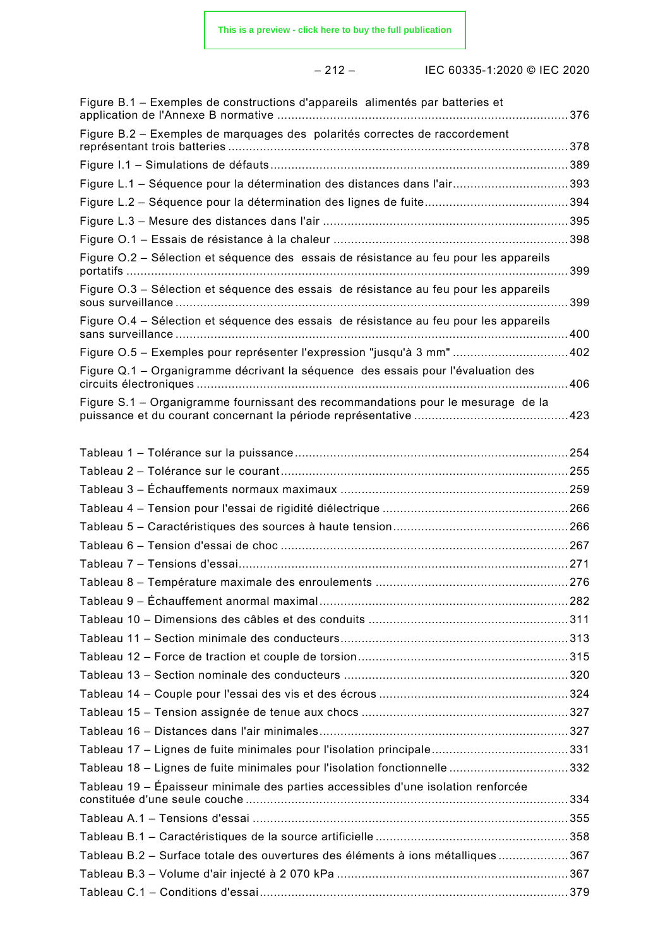| Figure B.1 – Exemples de constructions d'appareils alimentés par batteries et         |  |
|---------------------------------------------------------------------------------------|--|
| Figure B.2 - Exemples de marquages des polarités correctes de raccordement            |  |
|                                                                                       |  |
| Figure L.1 - Séquence pour la détermination des distances dans l'air393               |  |
|                                                                                       |  |
|                                                                                       |  |
|                                                                                       |  |
| Figure O.2 - Sélection et séquence des essais de résistance au feu pour les appareils |  |
| Figure O.3 - Sélection et séquence des essais de résistance au feu pour les appareils |  |
| Figure O.4 - Sélection et séquence des essais de résistance au feu pour les appareils |  |
| Figure O.5 - Exemples pour représenter l'expression "jusqu'à 3 mm" 402                |  |
| Figure Q.1 – Organigramme décrivant la séquence des essais pour l'évaluation des      |  |
| Figure S.1 – Organigramme fournissant des recommandations pour le mesurage de la      |  |
|                                                                                       |  |
|                                                                                       |  |
|                                                                                       |  |
|                                                                                       |  |
|                                                                                       |  |
|                                                                                       |  |
|                                                                                       |  |
|                                                                                       |  |
|                                                                                       |  |
|                                                                                       |  |
|                                                                                       |  |
|                                                                                       |  |
|                                                                                       |  |
|                                                                                       |  |
|                                                                                       |  |
|                                                                                       |  |
|                                                                                       |  |
| Tableau 18 - Lignes de fuite minimales pour l'isolation fonctionnelle 332             |  |
| Tableau 19 – Épaisseur minimale des parties accessibles d'une isolation renforcée     |  |
|                                                                                       |  |
|                                                                                       |  |
| Tableau B.2 - Surface totale des ouvertures des éléments à ions métalliques 367       |  |
|                                                                                       |  |
|                                                                                       |  |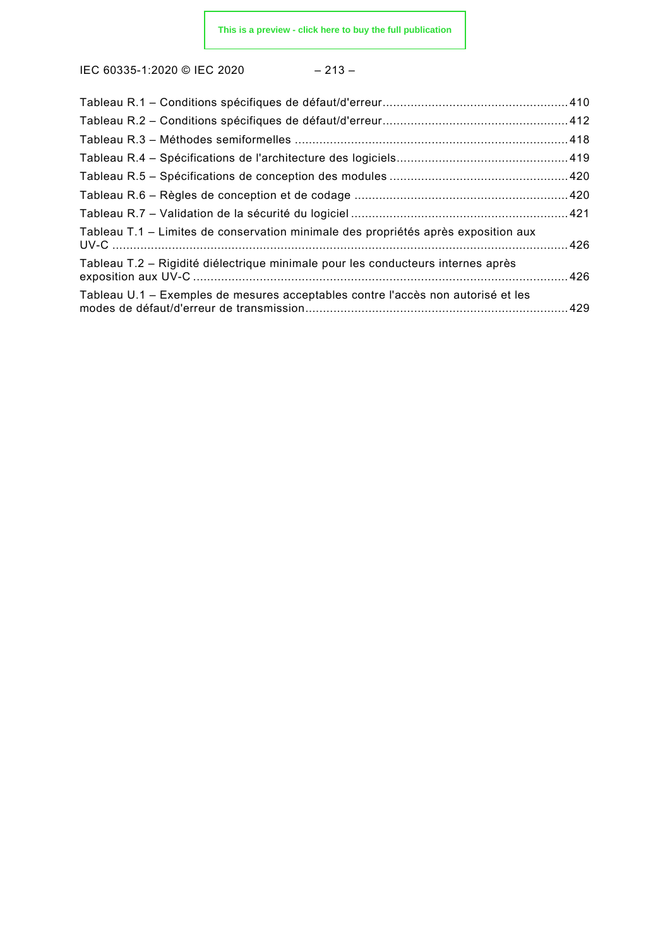$$
-213 -
$$

| Tableau T.1 – Limites de conservation minimale des propriétés après exposition aux |  |
|------------------------------------------------------------------------------------|--|
| Tableau T.2 – Rigidité diélectrique minimale pour les conducteurs internes après   |  |
| Tableau U.1 – Exemples de mesures acceptables contre l'accès non autorisé et les   |  |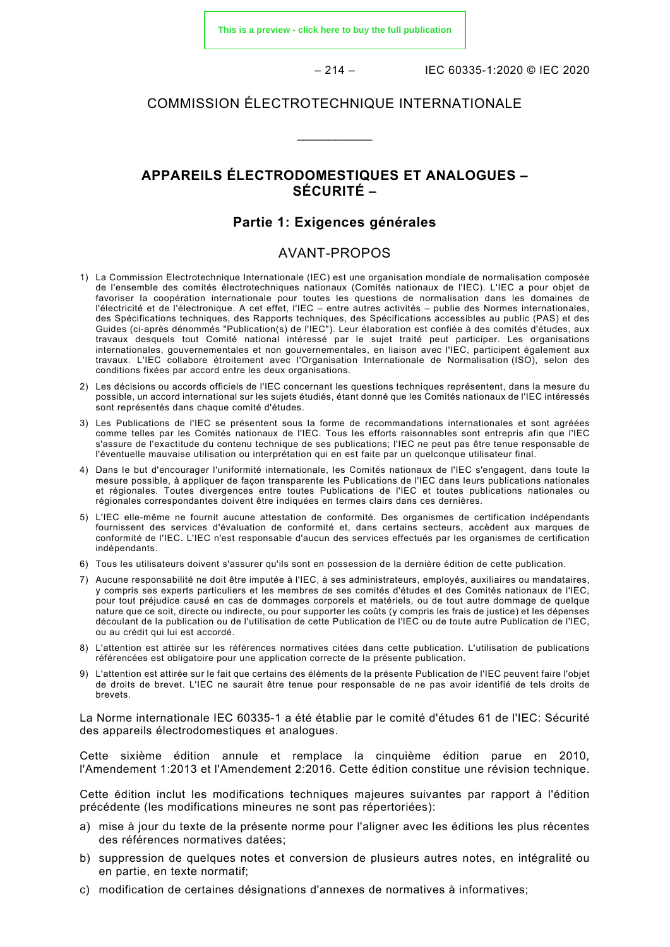**[This is a preview - click here to buy the full publication](https://webstore.iec.ch/publication/61880&preview)**

 $-214 -$  IEC 60335-1:2020 © IEC 2020

### COMMISSION ÉLECTROTECHNIQUE INTERNATIONALE

\_\_\_\_\_\_\_\_\_\_\_\_

### **APPAREILS ÉLECTRODOMESTIQUES ET ANALOGUES – SÉCURITÉ –**

### **Partie 1: Exigences générales**

### AVANT-PROPOS

- 1) La Commission Electrotechnique Internationale (IEC) est une organisation mondiale de normalisation composée de l'ensemble des comités électrotechniques nationaux (Comités nationaux de l'IEC). L'IEC a pour objet de favoriser la coopération internationale pour toutes les questions de normalisation dans les domaines de l'électricité et de l'électronique. A cet effet, l'IEC – entre autres activités – publie des Normes internationales, des Spécifications techniques, des Rapports techniques, des Spécifications accessibles au public (PAS) et des Guides (ci-après dénommés "Publication(s) de l'IEC"). Leur élaboration est confiée à des comités d'études, aux travaux desquels tout Comité national intéressé par le sujet traité peut participer. Les organisations internationales, gouvernementales et non gouvernementales, en liaison avec l'IEC, participent également aux travaux. L'IEC collabore étroitement avec l'Organisation Internationale de Normalisation (ISO), selon des conditions fixées par accord entre les deux organisations.
- 2) Les décisions ou accords officiels de l'IEC concernant les questions techniques représentent, dans la mesure du possible, un accord international sur les sujets étudiés, étant donné que les Comités nationaux de l'IEC intéressés sont représentés dans chaque comité d'études.
- 3) Les Publications de l'IEC se présentent sous la forme de recommandations internationales et sont agréées comme telles par les Comités nationaux de l'IEC. Tous les efforts raisonnables sont entrepris afin que l'IEC s'assure de l'exactitude du contenu technique de ses publications; l'IEC ne peut pas être tenue responsable de l'éventuelle mauvaise utilisation ou interprétation qui en est faite par un quelconque utilisateur final.
- 4) Dans le but d'encourager l'uniformité internationale, les Comités nationaux de l'IEC s'engagent, dans toute la mesure possible, à appliquer de façon transparente les Publications de l'IEC dans leurs publications nationales et régionales. Toutes divergences entre toutes Publications de l'IEC et toutes publications nationales ou régionales correspondantes doivent être indiquées en termes clairs dans ces dernières.
- 5) L'IEC elle-même ne fournit aucune attestation de conformité. Des organismes de certification indépendants fournissent des services d'évaluation de conformité et, dans certains secteurs, accèdent aux marques de conformité de l'IEC. L'IEC n'est responsable d'aucun des services effectués par les organismes de certification indépendants.
- 6) Tous les utilisateurs doivent s'assurer qu'ils sont en possession de la dernière édition de cette publication.
- 7) Aucune responsabilité ne doit être imputée à l'IEC, à ses administrateurs, employés, auxiliaires ou mandataires, y compris ses experts particuliers et les membres de ses comités d'études et des Comités nationaux de l'IEC, pour tout préjudice causé en cas de dommages corporels et matériels, ou de tout autre dommage de quelque nature que ce soit, directe ou indirecte, ou pour supporter les coûts (y compris les frais de justice) et les dépenses découlant de la publication ou de l'utilisation de cette Publication de l'IEC ou de toute autre Publication de l'IEC, ou au crédit qui lui est accordé.
- 8) L'attention est attirée sur les références normatives citées dans cette publication. L'utilisation de publications référencées est obligatoire pour une application correcte de la présente publication.
- 9) L'attention est attirée sur le fait que certains des éléments de la présente Publication de l'IEC peuvent faire l'objet de droits de brevet. L'IEC ne saurait être tenue pour responsable de ne pas avoir identifié de tels droits de brevets.

La Norme internationale IEC 60335-1 a été établie par le comité d'études 61 de l'IEC: Sécurité des appareils électrodomestiques et analogues.

Cette sixième édition annule et remplace la cinquième édition parue en 2010, l'Amendement 1:2013 et l'Amendement 2:2016. Cette édition constitue une révision technique.

Cette édition inclut les modifications techniques majeures suivantes par rapport à l'édition précédente (les modifications mineures ne sont pas répertoriées):

- a) mise à jour du texte de la présente norme pour l'aligner avec les éditions les plus récentes des références normatives datées;
- b) suppression de quelques notes et conversion de plusieurs autres notes, en intégralité ou en partie, en texte normatif;
- c) modification de certaines désignations d'annexes de normatives à informatives;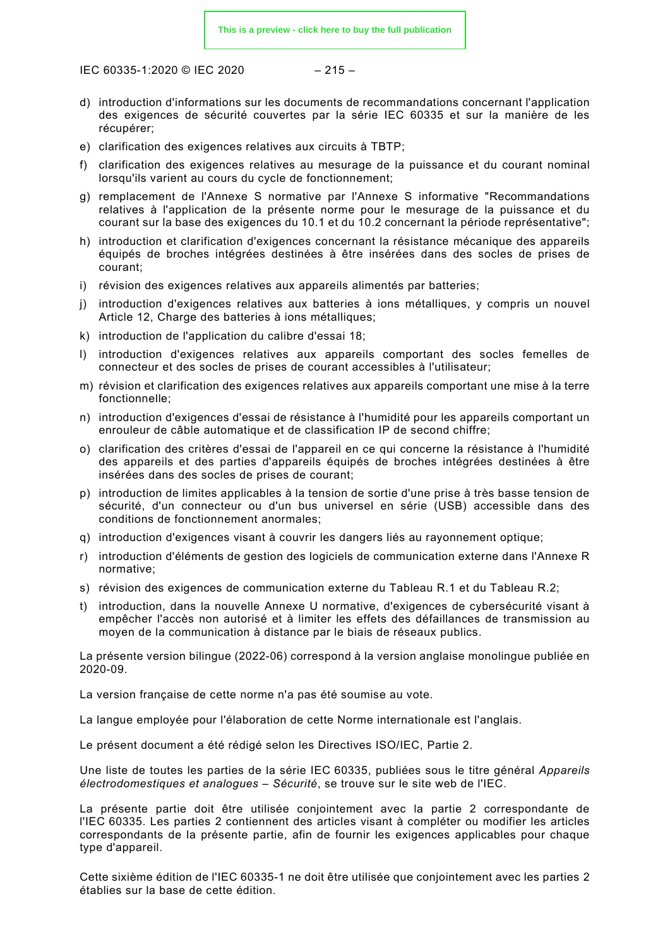$$
-215 -
$$

- d) introduction d'informations sur les documents de recommandations concernant l'application des exigences de sécurité couvertes par la série IEC 60335 et sur la manière de les récupérer;
- e) clarification des exigences relatives aux circuits à TBTP;
- f) clarification des exigences relatives au mesurage de la puissance et du courant nominal lorsqu'ils varient au cours du cycle de fonctionnement;
- g) remplacement de l'Annexe S normative par l'Annexe S informative "Recommandations relatives à l'application de la présente norme pour le mesurage de la puissance et du courant sur la base des exigences du 10.1 et du 10.2 concernant la période représentative";
- h) introduction et clarification d'exigences concernant la résistance mécanique des appareils équipés de broches intégrées destinées à être insérées dans des socles de prises de courant;
- i) révision des exigences relatives aux appareils alimentés par batteries;
- j) introduction d'exigences relatives aux batteries à ions métalliques, y compris un nouvel Article 12, Charge des batteries à ions métalliques;
- k) introduction de l'application du calibre d'essai 18;
- l) introduction d'exigences relatives aux appareils comportant des socles femelles de connecteur et des socles de prises de courant accessibles à l'utilisateur;
- m) révision et clarification des exigences relatives aux appareils comportant une mise à la terre fonctionnelle;
- n) introduction d'exigences d'essai de résistance à l'humidité pour les appareils comportant un enrouleur de câble automatique et de classification IP de second chiffre;
- o) clarification des critères d'essai de l'appareil en ce qui concerne la résistance à l'humidité des appareils et des parties d'appareils équipés de broches intégrées destinées à être insérées dans des socles de prises de courant;
- p) introduction de limites applicables à la tension de sortie d'une prise à très basse tension de sécurité, d'un connecteur ou d'un bus universel en série (USB) accessible dans des conditions de fonctionnement anormales;
- q) introduction d'exigences visant à couvrir les dangers liés au rayonnement optique;
- r) introduction d'éléments de gestion des logiciels de communication externe dans l'Annexe R normative;
- s) révision des exigences de communication externe du Tableau R.1 et du Tableau R.2;
- t) introduction, dans la nouvelle Annexe U normative, d'exigences de cybersécurité visant à empêcher l'accès non autorisé et à limiter les effets des défaillances de transmission au moyen de la communication à distance par le biais de réseaux publics.

La présente version bilingue (2022-06) correspond à la version anglaise monolingue publiée en 2020-09.

La version française de cette norme n'a pas été soumise au vote.

La langue employée pour l'élaboration de cette Norme internationale est l'anglais.

Le présent document a été rédigé selon les Directives ISO/IEC, Partie 2.

Une liste de toutes les parties de la série IEC 60335, publiées sous le titre général *Appareils électrodomestiques et analogues – Sécurité*, se trouve sur le site web de l'IEC.

La présente partie doit être utilisée conjointement avec la partie 2 correspondante de l'IEC 60335. Les parties 2 contiennent des articles visant à compléter ou modifier les articles correspondants de la présente partie, afin de fournir les exigences applicables pour chaque type d'appareil.

Cette sixième édition de l'IEC 60335-1 ne doit être utilisée que conjointement avec les parties 2 établies sur la base de cette édition.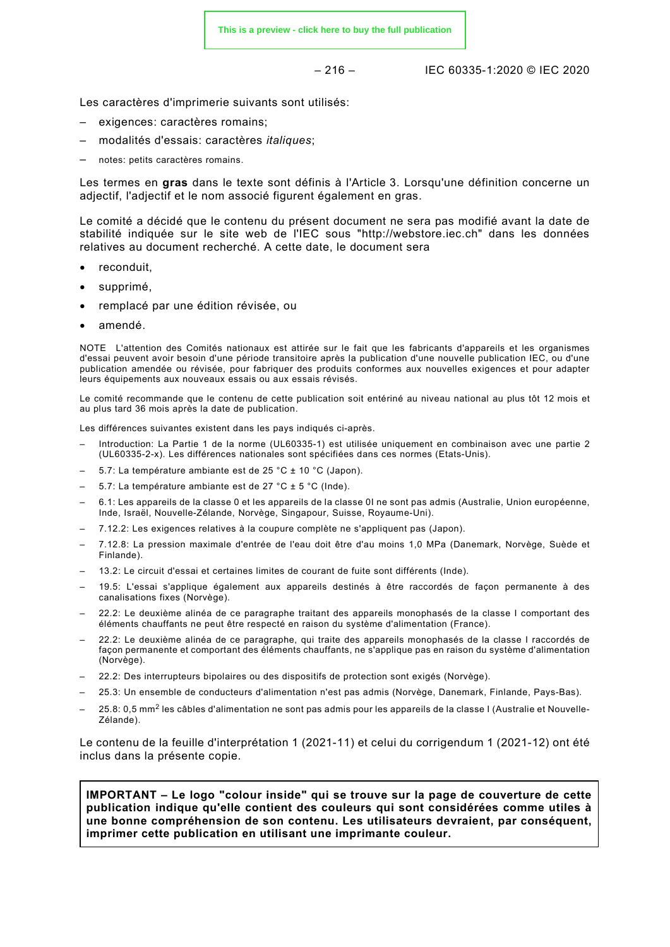$$
-216 -
$$

– 216 – IEC 60335-1:2020 © IEC 2020

Les caractères d'imprimerie suivants sont utilisés:

- exigences: caractères romains;
- modalités d'essais: caractères *italiques*;
- notes: petits caractères romains.

Les termes en **gras** dans le texte sont définis à l'Article 3. Lorsqu'une définition concerne un adjectif, l'adjectif et le nom associé figurent également en gras.

Le comité a décidé que le contenu du présent document ne sera pas modifié avant la date de stabilité indiquée sur le site web de l'IEC sous "http://webstore.iec.ch" dans les données relatives au document recherché. A cette date, le document sera

- reconduit,
- supprimé,
- remplacé par une édition révisée, ou
- amendé.

NOTE L'attention des Comités nationaux est attirée sur le fait que les fabricants d'appareils et les organismes d'essai peuvent avoir besoin d'une période transitoire après la publication d'une nouvelle publication IEC, ou d'une publication amendée ou révisée, pour fabriquer des produits conformes aux nouvelles exigences et pour adapter leurs équipements aux nouveaux essais ou aux essais révisés.

Le comité recommande que le contenu de cette publication soit entériné au niveau national au plus tôt 12 mois et au plus tard 36 mois après la date de publication.

Les différences suivantes existent dans les pays indiqués ci-après.

- Introduction: La Partie 1 de la norme (UL60335-1) est utilisée uniquement en combinaison avec une partie 2 (UL60335-2-x). Les différences nationales sont spécifiées dans ces normes (Etats-Unis).
- 5.7: La température ambiante est de 25 °C ± 10 °C (Japon).
- 5.7: La température ambiante est de 27 °C ± 5 °C (Inde).
- 6.1: Les appareils de la classe 0 et les appareils de la classe 0I ne sont pas admis (Australie, Union européenne, Inde, Israël, Nouvelle-Zélande, Norvège, Singapour, Suisse, Royaume-Uni).
- 7.12.2: Les exigences relatives à la coupure complète ne s'appliquent pas (Japon).
- 7.12.8: La pression maximale d'entrée de l'eau doit être d'au moins 1,0 MPa (Danemark, Norvège, Suède et Finlande).
- 13.2: Le circuit d'essai et certaines limites de courant de fuite sont différents (Inde).
- 19.5: L'essai s'applique également aux appareils destinés à être raccordés de façon permanente à des canalisations fixes (Norvège).
- 22.2: Le deuxième alinéa de ce paragraphe traitant des appareils monophasés de la classe I comportant des éléments chauffants ne peut être respecté en raison du système d'alimentation (France).
- 22.2: Le deuxième alinéa de ce paragraphe, qui traite des appareils monophasés de la classe I raccordés de façon permanente et comportant des éléments chauffants, ne s'applique pas en raison du système d'alimentation (Norvège).
- 22.2: Des interrupteurs bipolaires ou des dispositifs de protection sont exigés (Norvège).
- 25.3: Un ensemble de conducteurs d'alimentation n'est pas admis (Norvège, Danemark, Finlande, Pays-Bas).
- 25.8: 0,5 mm<sup>2</sup> les câbles d'alimentation ne sont pas admis pour les appareils de la classe I (Australie et Nouvelle-Zélande).

Le contenu de la feuille d'interprétation 1 (2021-11) et celui du corrigendum 1 (2021-12) ont été inclus dans la présente copie.

**IMPORTANT – Le logo "colour inside" qui se trouve sur la page de couverture de cette publication indique qu'elle contient des couleurs qui sont considérées comme utiles à une bonne compréhension de son contenu. Les utilisateurs devraient, par conséquent, imprimer cette publication en utilisant une imprimante couleur.**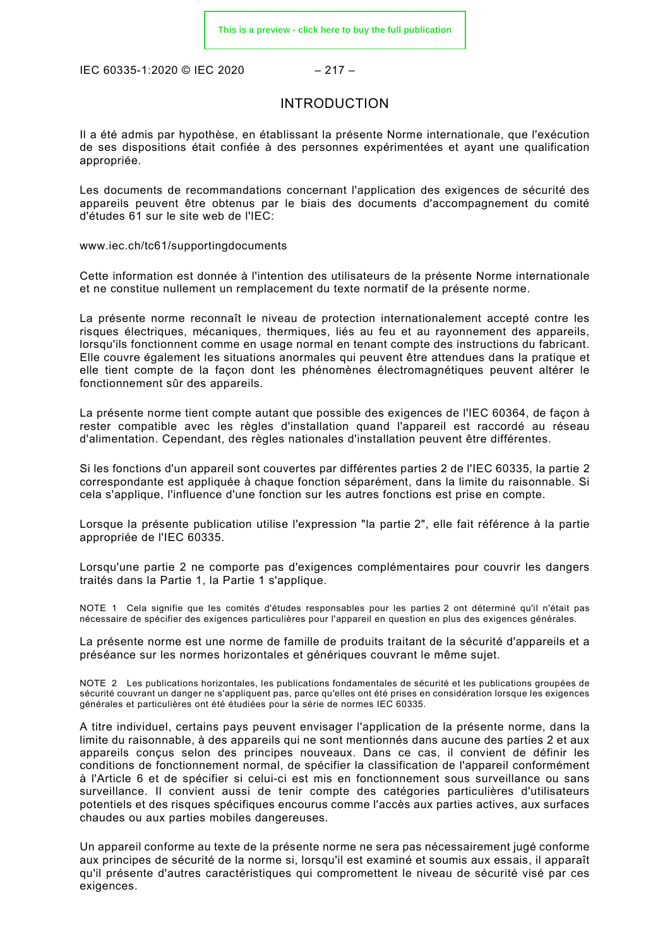IEC 60335-1:2020 © IEC 2020 – 217 –

### INTRODUCTION

Il a été admis par hypothèse, en établissant la présente Norme internationale, que l'exécution de ses dispositions était confiée à des personnes expérimentées et ayant une qualification appropriée.

Les documents de recommandations concernant l'application des exigences de sécurité des appareils peuvent être obtenus par le biais des documents d'accompagnement du comité d'études 61 sur le site web de l'IEC:

### [www.iec.ch/tc61/supportingdocuments](http://www.iec.ch/tc61/supportingdocuments)

Cette information est donnée à l'intention des utilisateurs de la présente Norme internationale et ne constitue nullement un remplacement du texte normatif de la présente norme.

La présente norme reconnaît le niveau de protection internationalement accepté contre les risques électriques, mécaniques, thermiques, liés au feu et au rayonnement des appareils, lorsqu'ils fonctionnent comme en usage normal en tenant compte des instructions du fabricant. Elle couvre également les situations anormales qui peuvent être attendues dans la pratique et elle tient compte de la façon dont les phénomènes électromagnétiques peuvent altérer le fonctionnement sûr des appareils.

La présente norme tient compte autant que possible des exigences de l'IEC 60364, de façon à rester compatible avec les règles d'installation quand l'appareil est raccordé au réseau d'alimentation. Cependant, des règles nationales d'installation peuvent être différentes.

Si les fonctions d'un appareil sont couvertes par différentes parties 2 de l'IEC 60335, la partie 2 correspondante est appliquée à chaque fonction séparément, dans la limite du raisonnable. Si cela s'applique, l'influence d'une fonction sur les autres fonctions est prise en compte.

Lorsque la présente publication utilise l'expression "la partie 2", elle fait référence à la partie appropriée de l'IEC 60335.

Lorsqu'une partie 2 ne comporte pas d'exigences complémentaires pour couvrir les dangers traités dans la Partie 1, la Partie 1 s'applique.

NOTE 1 Cela signifie que les comités d'études responsables pour les parties 2 ont déterminé qu'il n'était pas nécessaire de spécifier des exigences particulières pour l'appareil en question en plus des exigences générales.

La présente norme est une norme de famille de produits traitant de la sécurité d'appareils et a préséance sur les normes horizontales et génériques couvrant le même sujet.

NOTE 2 Les publications horizontales, les publications fondamentales de sécurité et les publications groupées de sécurité couvrant un danger ne s'appliquent pas, parce qu'elles ont été prises en considération lorsque les exigences générales et particulières ont été étudiées pour la série de normes IEC 60335.

A titre individuel, certains pays peuvent envisager l'application de la présente norme, dans la limite du raisonnable, à des appareils qui ne sont mentionnés dans aucune des parties 2 et aux appareils conçus selon des principes nouveaux. Dans ce cas, il convient de définir les conditions de fonctionnement normal, de spécifier la classification de l'appareil conformément à l'Article 6 et de spécifier si celui-ci est mis en fonctionnement sous surveillance ou sans surveillance. Il convient aussi de tenir compte des catégories particulières d'utilisateurs potentiels et des risques spécifiques encourus comme l'accès aux parties actives, aux surfaces chaudes ou aux parties mobiles dangereuses.

Un appareil conforme au texte de la présente norme ne sera pas nécessairement jugé conforme aux principes de sécurité de la norme si, lorsqu'il est examiné et soumis aux essais, il apparaît qu'il présente d'autres caractéristiques qui compromettent le niveau de sécurité visé par ces exigences.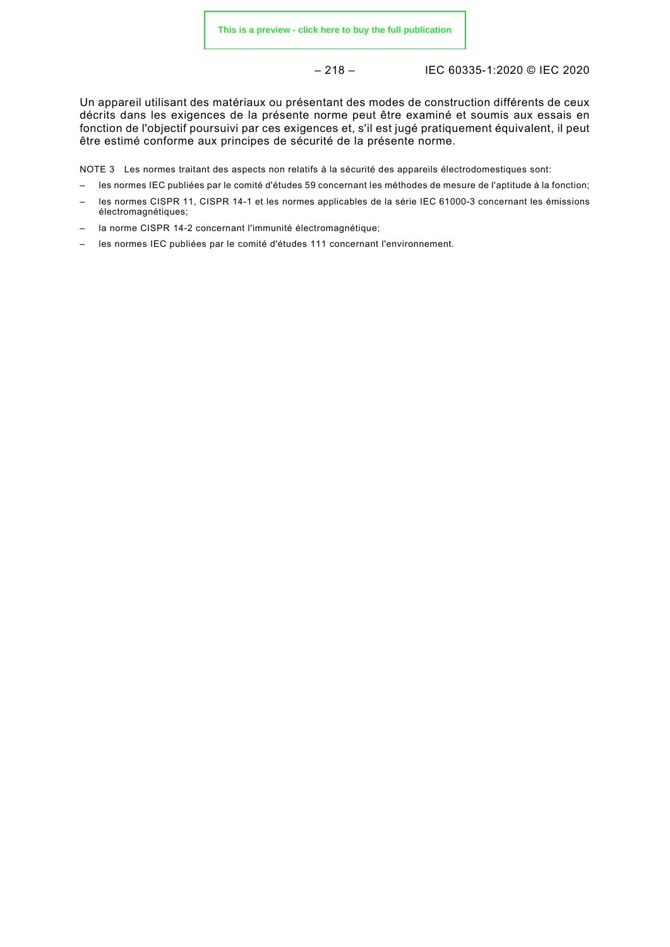$$
-218 -
$$

– 218 – IEC 60335-1:2020 © IEC 2020

Un appareil utilisant des matériaux ou présentant des modes de construction différents de ceux décrits dans les exigences de la présente norme peut être examiné et soumis aux essais en fonction de l'objectif poursuivi par ces exigences et, s'il est jugé pratiquement équivalent, il peut être estimé conforme aux principes de sécurité de la présente norme.

NOTE 3 Les normes traitant des aspects non relatifs à la sécurité des appareils électrodomestiques sont:

- les normes IEC publiées par le comité d'études 59 concernant les méthodes de mesure de l'aptitude à la fonction;
- les normes CISPR 11, CISPR 14-1 et les normes applicables de la série IEC 61000-3 concernant les émissions électromagnétiques;
- la norme CISPR 14-2 concernant l'immunité électromagnétique;
- les normes IEC publiées par le comité d'études 111 concernant l'environnement*.*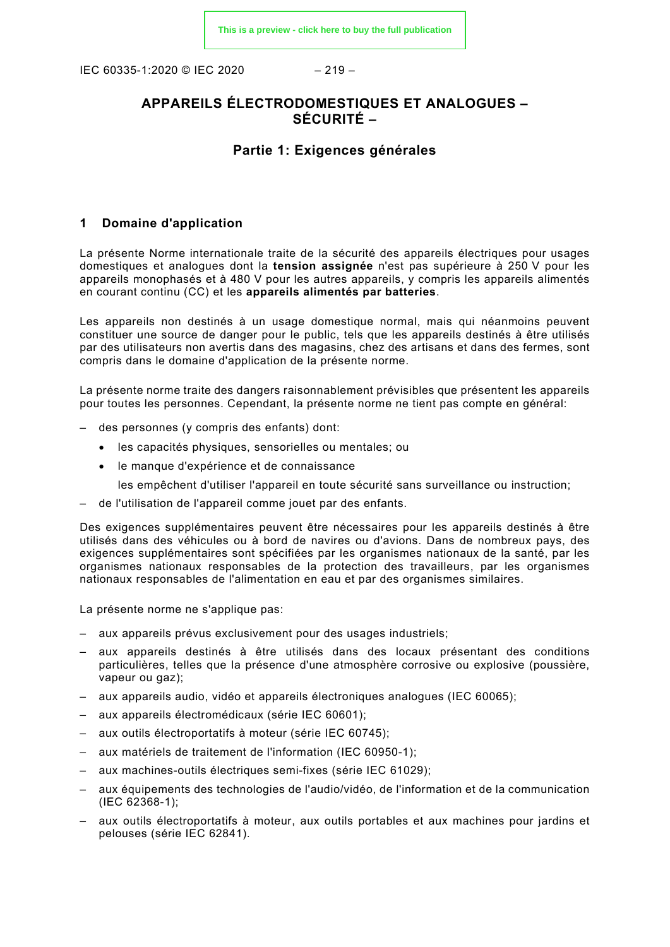IEC 60335-1:2020 © IEC 2020 – 219 –

### **APPAREILS ÉLECTRODOMESTIQUES ET ANALOGUES – SÉCURITÉ –**

### **Partie 1: Exigences générales**

### **1 Domaine d'application**

La présente Norme internationale traite de la sécurité des appareils électriques pour usages domestiques et analogues dont la **tension assignée** n'est pas supérieure à 250 V pour les appareils monophasés et à 480 V pour les autres appareils, y compris les appareils alimentés en courant continu (CC) et les **appareils alimentés par batteries**.

Les appareils non destinés à un usage domestique normal, mais qui néanmoins peuvent constituer une source de danger pour le public, tels que les appareils destinés à être utilisés par des utilisateurs non avertis dans des magasins, chez des artisans et dans des fermes, sont compris dans le domaine d'application de la présente norme.

La présente norme traite des dangers raisonnablement prévisibles que présentent les appareils pour toutes les personnes. Cependant, la présente norme ne tient pas compte en général:

- des personnes (y compris des enfants) dont:
	- les capacités physiques, sensorielles ou mentales; ou
	- le manque d'expérience et de connaissance
		- les empêchent d'utiliser l'appareil en toute sécurité sans surveillance ou instruction;
- de l'utilisation de l'appareil comme jouet par des enfants.

Des exigences supplémentaires peuvent être nécessaires pour les appareils destinés à être utilisés dans des véhicules ou à bord de navires ou d'avions. Dans de nombreux pays, des exigences supplémentaires sont spécifiées par les organismes nationaux de la santé, par les organismes nationaux responsables de la protection des travailleurs, par les organismes nationaux responsables de l'alimentation en eau et par des organismes similaires.

La présente norme ne s'applique pas:

- aux appareils prévus exclusivement pour des usages industriels;
- aux appareils destinés à être utilisés dans des locaux présentant des conditions particulières, telles que la présence d'une atmosphère corrosive ou explosive (poussière, vapeur ou gaz);
- aux appareils audio, vidéo et appareils électroniques analogues (IEC 60065);
- aux appareils électromédicaux (série IEC 60601);
- aux outils électroportatifs à moteur (série IEC 60745);
- aux matériels de traitement de l'information (IEC 60950-1);
- aux machines-outils électriques semi-fixes (série IEC 61029);
- aux équipements des technologies de l'audio/vidéo, de l'information et de la communication (IEC 62368-1);
- aux outils électroportatifs à moteur, aux outils portables et aux machines pour jardins et pelouses (série IEC 62841).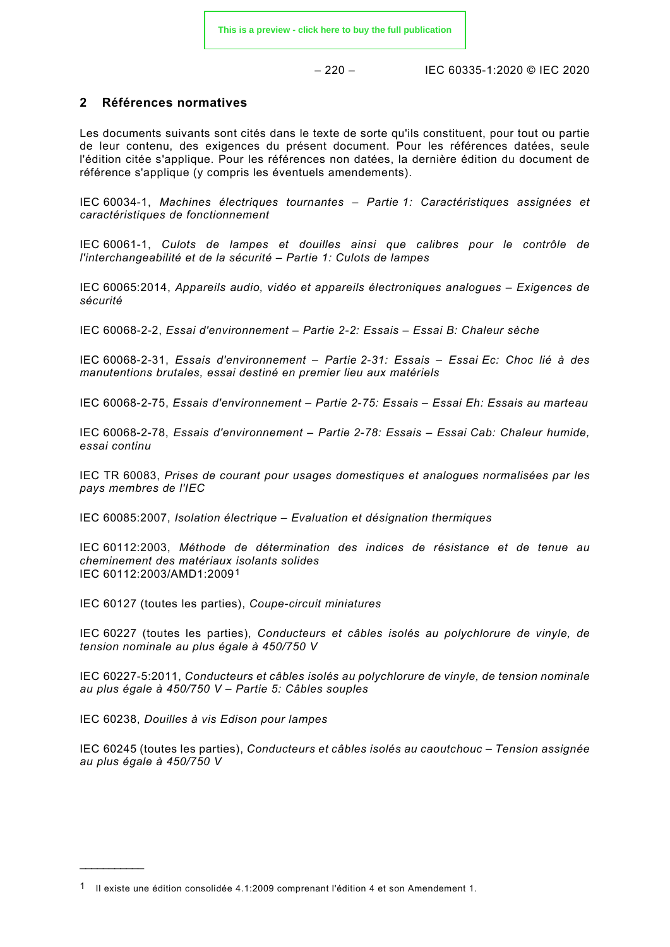$-220 - 15C_60335 - 1:2020$  © IEC 2020

### **2 Références normatives**

Les documents suivants sont cités dans le texte de sorte qu'ils constituent, pour tout ou partie de leur contenu, des exigences du présent document. Pour les références datées, seule l'édition citée s'applique. Pour les références non datées, la dernière édition du document de référence s'applique (y compris les éventuels amendements).

IEC 60034-1, *Machines électriques tournantes – Partie 1: Caractéristiques assignées et caractéristiques de fonctionnement*

IEC 60061-1, *Culots de lampes et douilles ainsi que calibres pour le contrôle de l'interchangeabilité et de la sécurité – Partie 1: Culots de lampes*

IEC 60065:2014, *Appareils audio, vidéo et appareils électroniques analogues – Exigences de sécurité*

IEC 60068-2-2, *Essai d'environnement – Partie 2-2: Essais – Essai B: Chaleur sèche*

IEC 60068-2-31, *Essais d'environnement – Partie 2-31: Essais – Essai Ec: Choc lié à des manutentions brutales, essai destiné en premier lieu aux matériels*

IEC 60068-2-75, *Essais d'environnement – Partie 2-75: Essais – Essai Eh: Essais au marteau*

IEC 60068-2-78, *Essais d'environnement – Partie 2-78: Essais – Essai Cab: Chaleur humide, essai continu*

IEC TR 60083, *Prises de courant pour usages domestiques et analogues normalisées par les pays membres de l'IEC*

IEC 60085:2007, *Isolation électrique – Evaluation et désignation thermiques*

IEC 60112:2003, *Méthode de détermination des indices de résistance et de tenue au cheminement des matériaux isolants solides* IEC 60112:2003/AMD1:2009[1](#page-26-0)

IEC 60127 (toutes les parties), *Coupe-circuit miniatures*

IEC 60227 (toutes les parties), *Conducteurs et câbles isolés au polychlorure de vinyle, de tension nominale au plus égale à 450/750 V*

IEC 60227-5:2011, *Conducteurs et câbles isolés au polychlorure de vinyle, de tension nominale au plus égale à 450/750 V – Partie 5: Câbles souples*

IEC 60238, *Douilles à vis Edison pour lampes*

\_\_\_\_\_\_\_\_\_\_\_\_\_\_

IEC 60245 (toutes les parties), *Conducteurs et câbles isolés au caoutchouc – Tension assignée au plus égale à 450/750 V*

<span id="page-26-0"></span><sup>1</sup> Il existe une édition consolidée 4.1:2009 comprenant l'édition 4 et son Amendement 1.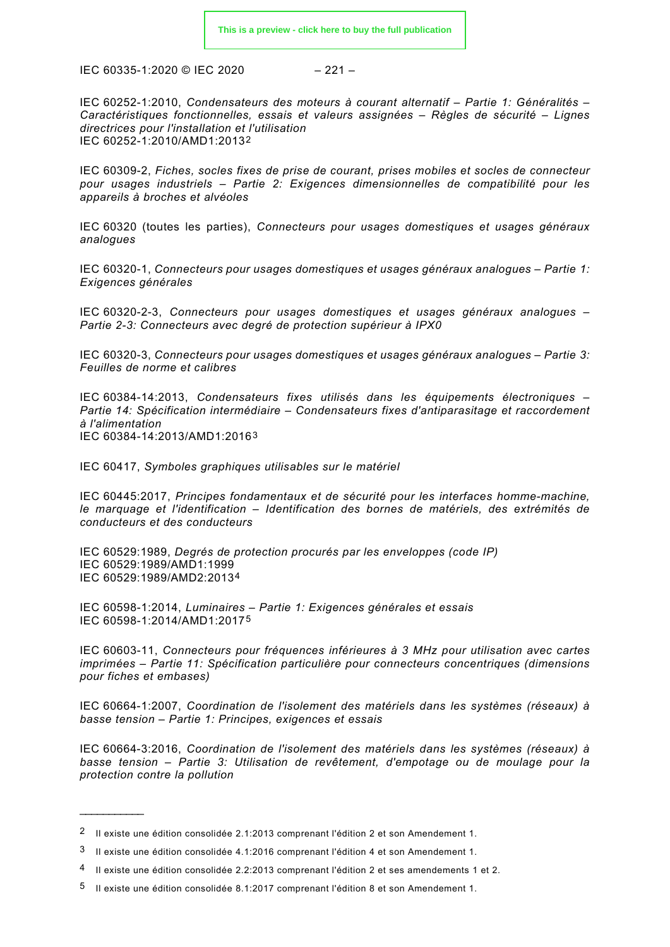$$
-221-
$$

IEC 60252-1:2010, *Condensateurs des moteurs à courant alternatif – Partie 1: Généralités – Caractéristiques fonctionnelles, essais et valeurs assignées – Règles de sécurité – Lignes directrices pour l'installation et l'utilisation* IEC 60252-1:2010/AMD1:2013[2](#page-27-0)

IEC 60309-2, *Fiches, socles fixes de prise de courant, prises mobiles et socles de connecteur pour usages industriels – Partie 2: Exigences dimensionnelles de compatibilité pour les appareils à broches et alvéoles*

IEC 60320 (toutes les parties), *Connecteurs pour usages domestiques et usages généraux analogues*

IEC 60320-1, *Connecteurs pour usages domestiques et usages généraux analogues – Partie 1: Exigences générales*

IEC 60320-2-3, *Connecteurs pour usages domestiques et usages généraux analogues – Partie 2-3: Connecteurs avec degré de protection supérieur à IPX0*

IEC 60320-3, *Connecteurs pour usages domestiques et usages généraux analogues – Partie 3: Feuilles de norme et calibres*

IEC 60384-14:2013, *Condensateurs fixes utilisés dans les équipements électroniques – Partie 14: Spécification intermédiaire – Condensateurs fixes d'antiparasitage et raccordement à l'alimentation* IEC 60384-14:2013/AMD1:2016[3](#page-27-1)

IEC 60417, *Symboles graphiques utilisables sur le matériel*

IEC 60445:2017, *Principes fondamentaux et de sécurité pour les interfaces homme-machine, le marquage et l'identification – Identification des bornes de matériels, des extrémités de conducteurs et des conducteurs*

IEC 60529:1989, *Degrés de protection procurés par les enveloppes (code IP)* IEC 60529:1989/AMD1:1999 IEC 60529:1989/AMD2:2013[4](#page-27-2)

IEC 60598-1:2014, *Luminaires – Partie 1: Exigences générales et essais* IEC 60598-1:2014/AMD1:2017[5](#page-27-3)

IEC 60603-11, *Connecteurs pour fréquences inférieures à 3 MHz pour utilisation avec cartes imprimées – Partie 11: Spécification particulière pour connecteurs concentriques (dimensions pour fiches et embases)*

IEC 60664-1:2007, *Coordination de l'isolement des matériels dans les systèmes (réseaux) à basse tension – Partie 1: Principes, exigences et essais*

IEC 60664-3:2016, *Coordination de l'isolement des matériels dans les systèmes (réseaux) à basse tension – Partie 3: Utilisation de revêtement, d'empotage ou de moulage pour la protection contre la pollution*

\_\_\_\_\_\_\_\_\_\_\_\_\_\_

<span id="page-27-0"></span><sup>2</sup> Il existe une édition consolidée 2.1:2013 comprenant l'édition 2 et son Amendement 1.

<span id="page-27-1"></span><sup>3</sup> Il existe une édition consolidée 4.1:2016 comprenant l'édition 4 et son Amendement 1.

<span id="page-27-2"></span><sup>4</sup> Il existe une édition consolidée 2.2:2013 comprenant l'édition 2 et ses amendements 1 et 2.

<span id="page-27-3"></span><sup>5</sup> Il existe une édition consolidée 8.1:2017 comprenant l'édition 8 et son Amendement 1.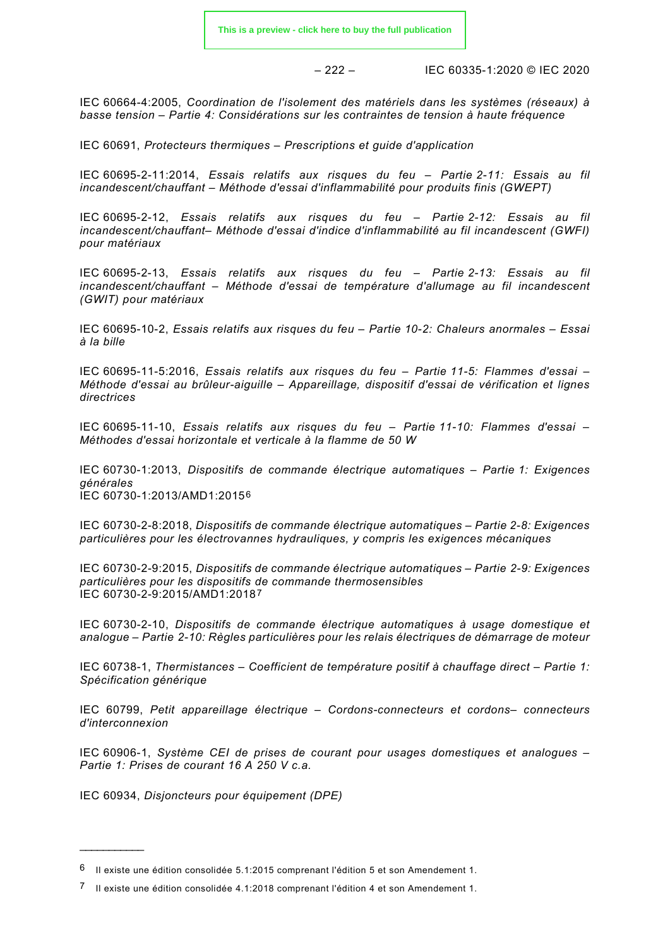– 222 – IEC 60335-1:2020 © IEC 2020

IEC 60664-4:2005, *Coordination de l'isolement des matériels dans les systèmes (réseaux) à basse tension – Partie 4: Considérations sur les contraintes de tension à haute fréquence*

IEC 60691, *Protecteurs thermiques – Prescriptions et guide d'application*

IEC 60695-2-11:2014, *Essais relatifs aux risques du feu – Partie 2-11: Essais au fil incandescent/chauffant – Méthode d'essai d'inflammabilité pour produits finis (GWEPT)*

IEC 60695-2-12, *Essais relatifs aux risques du feu – Partie 2-12: Essais au fil incandescent/chauffant– Méthode d'essai d'indice d'inflammabilité au fil incandescent (GWFI) pour matériaux*

IEC 60695-2-13, *Essais relatifs aux risques du feu – Partie 2-13: Essais au fil incandescent/chauffant – Méthode d'essai de température d'allumage au fil incandescent (GWIT) pour matériaux*

IEC 60695-10-2, *Essais relatifs aux risques du feu – Partie 10-2: Chaleurs anormales – Essai à la bille*

IEC 60695-11-5:2016, *Essais relatifs aux risques du feu – Partie 11-5: Flammes d'essai – Méthode d'essai au brûleur-aiguille – Appareillage, dispositif d'essai de vérification et lignes directrices*

IEC 60695-11-10, *Essais relatifs aux risques du feu – Partie 11-10: Flammes d'essai – Méthodes d'essai horizontale et verticale à la flamme de 50 W*

IEC 60730-1:2013, *Dispositifs de commande électrique automatiques – Partie 1: Exigences générales* IEC 60730-1:2013/AMD1:2015[6](#page-28-0)

IEC 60730-2-8:2018, *Dispositifs de commande électrique automatiques – Partie 2-8: Exigences particulières pour les électrovannes hydrauliques, y compris les exigences mécaniques*

IEC 60730-2-9:2015, *Dispositifs de commande électrique automatiques – Partie 2-9: Exigences particulières pour les dispositifs de commande thermosensibles* IEC 60730-2-9:2015/AMD1:2018[7](#page-28-1)

IEC 60730-2-10, *Dispositifs de commande électrique automatiques à usage domestique et analogue – Partie 2-10: Règles particulières pour les relais électriques de démarrage de moteur*

IEC 60738-1, *Thermistances – Coefficient de température positif à chauffage direct – Partie 1: Spécification générique*

IEC 60799, *Petit appareillage électrique – Cordons-connecteurs et cordons– connecteurs d'interconnexion*

IEC 60906-1, *Système CEI de prises de courant pour usages domestiques et analogues – Partie 1: Prises de courant 16 A 250 V c.a.*

IEC 60934, *Disjoncteurs pour équipement (DPE)*

 $\overline{\phantom{a}}$ 

<span id="page-28-0"></span><sup>6</sup> Il existe une édition consolidée 5.1:2015 comprenant l'édition 5 et son Amendement 1.

<span id="page-28-1"></span><sup>7</sup> Il existe une édition consolidée 4.1:2018 comprenant l'édition 4 et son Amendement 1.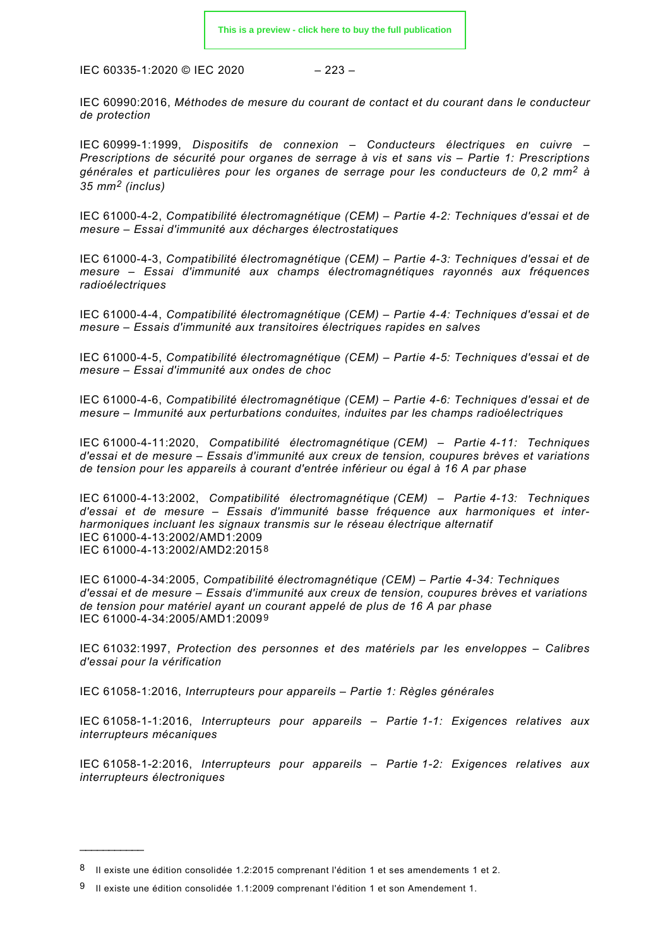$$
-223-
$$

IEC 60990:2016, *Méthodes de mesure du courant de contact et du courant dans le conducteur de protection*

IEC 60999-1:1999, *Dispositifs de connexion – Conducteurs électriques en cuivre – Prescriptions de sécurité pour organes de serrage à vis et sans vis – Partie 1: Prescriptions générales et particulières pour les organes de serrage pour les conducteurs de 0,2 mm<sup>2</sup> à 35 mm<sup>2</sup> (inclus)*

IEC 61000-4-2, *Compatibilité électromagnétique (CEM) – Partie 4-2: Techniques d'essai et de mesure – Essai d'immunité aux décharges électrostatiques*

IEC 61000-4-3, *Compatibilité électromagnétique (CEM) – Partie 4-3: Techniques d'essai et de mesure – Essai d'immunité aux champs électromagnétiques rayonnés aux fréquences radioélectriques*

IEC 61000-4-4, *Compatibilité électromagnétique (CEM) – Partie 4-4: Techniques d'essai et de mesure – Essais d'immunité aux transitoires électriques rapides en salves*

IEC 61000-4-5, *Compatibilité électromagnétique (CEM) – Partie 4-5: Techniques d'essai et de mesure – Essai d'immunité aux ondes de choc*

IEC 61000-4-6, *Compatibilité électromagnétique (CEM) – Partie 4-6: Techniques d'essai et de mesure – Immunité aux perturbations conduites, induites par les champs radioélectriques*

IEC 61000-4-11:2020, *Compatibilité électromagnétique (CEM) – Partie 4-11: Techniques d'essai et de mesure – Essais d'immunité aux creux de tension, coupures brèves et variations de tension pour les appareils à courant d'entrée inférieur ou égal à 16 A par phase*

IEC 61000-4-13:2002, *Compatibilité électromagnétique (CEM) – Partie 4-13: Techniques d'essai et de mesure – Essais d'immunité basse fréquence aux harmoniques et interharmoniques incluant les signaux transmis sur le réseau électrique alternatif* IEC 61000-4-13:2002/AMD1:2009 IEC 61000-4-13:2002/AMD2:2015[8](#page-29-0)

IEC 61000-4-34:2005, *Compatibilité électromagnétique (CEM) – Partie 4-34: Techniques d'essai et de mesure – Essais d'immunité aux creux de tension, coupures brèves et variations de tension pour matériel ayant un courant appelé de plus de 16 A par phase* IEC 61000-4-34:2005/AMD1:2009[9](#page-29-1)

IEC 61032:1997, *Protection des personnes et des matériels par les enveloppes – Calibres d'essai pour la vérification*

IEC 61058-1:2016, *Interrupteurs pour appareils – Partie 1: Règles générales*

IEC 61058-1-1:2016, *Interrupteurs pour appareils – Partie 1-1: Exigences relatives aux interrupteurs mécaniques*

IEC 61058-1-2:2016, *Interrupteurs pour appareils – Partie 1-2: Exigences relatives aux interrupteurs électroniques*

 $\overline{\phantom{a}}$ 

<span id="page-29-0"></span><sup>8</sup> Il existe une édition consolidée 1.2:2015 comprenant l'édition 1 et ses amendements 1 et 2.

<span id="page-29-1"></span> $9$  Il existe une édition consolidée 1.1:2009 comprenant l'édition 1 et son Amendement 1.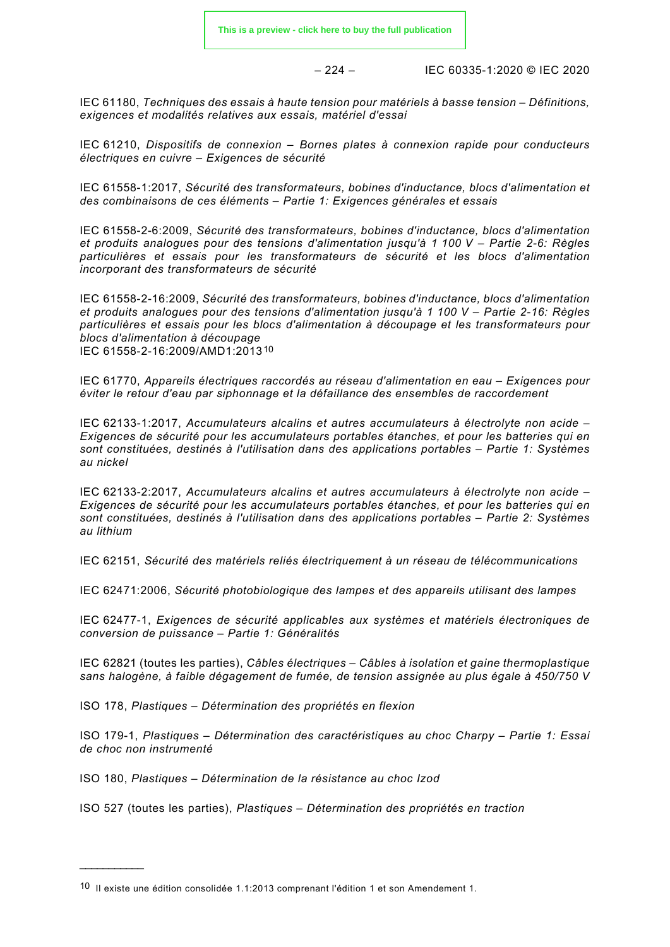$-224 -$  IEC 60335-1:2020 © IEC 2020

IEC 61180, *Techniques des essais à haute tension pour matériels à basse tension – Définitions, exigences et modalités relatives aux essais, matériel d'essai*

IEC 61210, *Dispositifs de connexion – Bornes plates à connexion rapide pour conducteurs électriques en cuivre – Exigences de sécurité*

IEC 61558-1:2017, *Sécurité des transformateurs, bobines d'inductance, blocs d'alimentation et des combinaisons de ces éléments – Partie 1: Exigences générales et essais*

IEC 61558-2-6:2009, *Sécurité des transformateurs, bobines d'inductance, blocs d'alimentation et produits analogues pour des tensions d'alimentation jusqu'à 1 100 V – Partie 2-6: Règles particulières et essais pour les transformateurs de sécurité et les blocs d'alimentation incorporant des transformateurs de sécurité*

IEC 61558-2-16:2009, *Sécurité des transformateurs, bobines d'inductance, blocs d'alimentation et produits analogues pour des tensions d'alimentation jusqu'à 1 100 V – Partie 2-16: Règles particulières et essais pour les blocs d'alimentation à découpage et les transformateurs pour blocs d'alimentation à découpage* IEC 61558-2-16:2009/AMD1:2013[10](#page-30-0)

IEC 61770, *Appareils électriques raccordés au réseau d'alimentation en eau – Exigences pour éviter le retour d'eau par siphonnage et la défaillance des ensembles de raccordement*

IEC 62133-1:2017, *Accumulateurs alcalins et autres accumulateurs à électrolyte non acide – Exigences de sécurité pour les accumulateurs portables étanches, et pour les batteries qui en sont constituées, destinés à l'utilisation dans des applications portables – Partie 1: Systèmes au nickel*

IEC 62133-2:2017, *Accumulateurs alcalins et autres accumulateurs à électrolyte non acide – Exigences de sécurité pour les accumulateurs portables étanches, et pour les batteries qui en sont constituées, destinés à l'utilisation dans des applications portables – Partie 2: Systèmes au lithium*

IEC 62151, *Sécurité des matériels reliés électriquement à un réseau de télécommunications*

IEC 62471:2006, *Sécurité photobiologique des lampes et des appareils utilisant des lampes*

IEC 62477-1, *Exigences de sécurité applicables aux systèmes et matériels électroniques de conversion de puissance – Partie 1: Généralités*

IEC 62821 (toutes les parties), *Câbles électriques – Câbles à isolation et gaine thermoplastique sans halogène, à faible dégagement de fumée, de tension assignée au plus égale à 450/750 V*

ISO 178, *Plastiques – Détermination des propriétés en flexion*

ISO 179-1, *Plastiques – Détermination des caractéristiques au choc Charpy – Partie 1: Essai de choc non instrumenté*

ISO 180, *Plastiques – Détermination de la résistance au choc Izod*

\_\_\_\_\_\_\_\_\_\_\_\_\_

ISO 527 (toutes les parties), *Plastiques – Détermination des propriétés en traction* 

<span id="page-30-0"></span><sup>10</sup> Il existe une édition consolidée 1.1:2013 comprenant l'édition 1 et son Amendement 1.